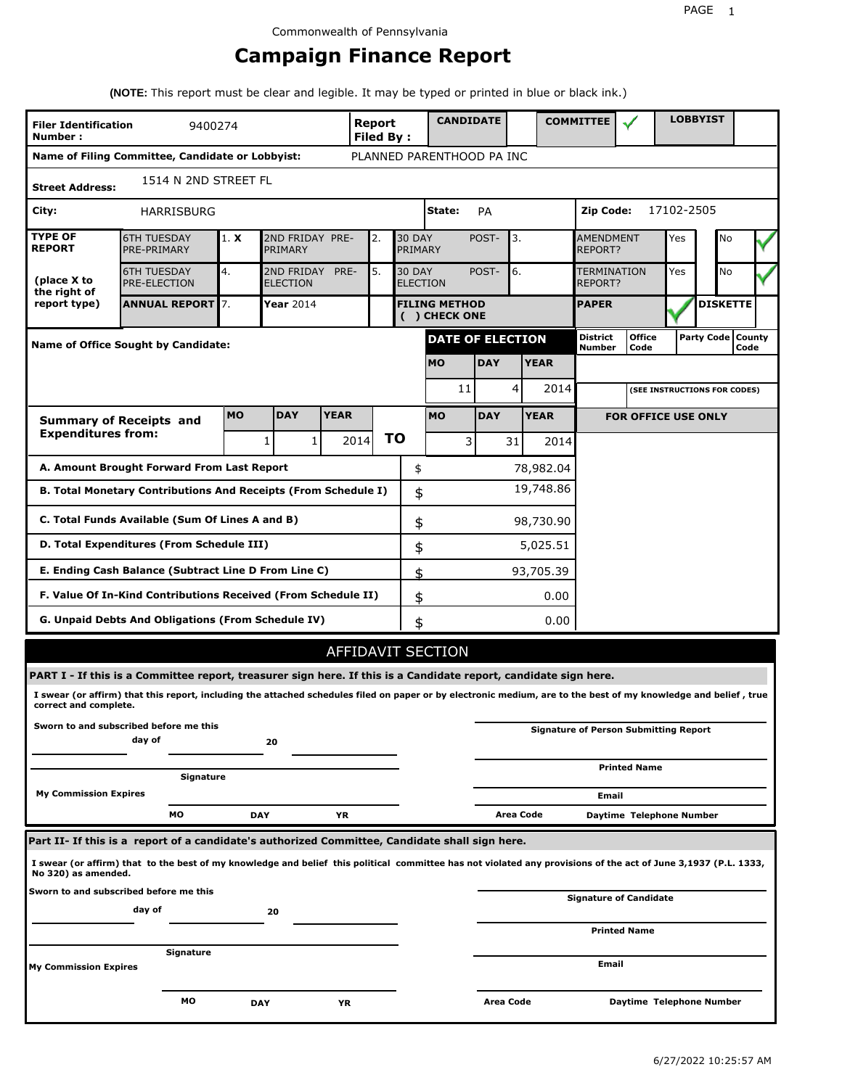# **Campaign Finance Report**

**(NOTE:** This report must be clear and legible. It may be typed or printed in blue or black ink.)

| <b>Filer Identification</b><br>Number: | 9400274                                                                                                                                                         |            |                               |             | Report<br><b>Filed By:</b> |    |                                  | <b>CANDIDATE</b>                      |            |           |             | <b>COMMITTEE</b>            |                                              |            | <b>LOBBYIST</b>              |                             |
|----------------------------------------|-----------------------------------------------------------------------------------------------------------------------------------------------------------------|------------|-------------------------------|-------------|----------------------------|----|----------------------------------|---------------------------------------|------------|-----------|-------------|-----------------------------|----------------------------------------------|------------|------------------------------|-----------------------------|
|                                        | Name of Filing Committee, Candidate or Lobbyist:                                                                                                                |            |                               |             |                            |    |                                  | PLANNED PARENTHOOD PA INC             |            |           |             |                             |                                              |            |                              |                             |
| <b>Street Address:</b>                 | 1514 N 2ND STREET FL                                                                                                                                            |            |                               |             |                            |    |                                  |                                       |            |           |             |                             |                                              |            |                              |                             |
| City:                                  | <b>HARRISBURG</b>                                                                                                                                               |            |                               |             |                            |    |                                  | State:                                | PA         |           |             | Zip Code:                   |                                              | 17102-2505 |                              |                             |
| <b>TYPE OF</b><br><b>REPORT</b>        | <b>6TH TUESDAY</b><br>PRE-PRIMARY                                                                                                                               | 1. X       | 2ND FRIDAY PRE-<br>PRIMARY    |             | 2.                         |    | <b>30 DAY</b><br>PRIMARY         |                                       | POST-      | 3.        |             | <b>AMENDMENT</b><br>REPORT? |                                              | Yes        | No                           |                             |
| (place X to<br>the right of            | <b>6TH TUESDAY</b><br><b>PRE-ELECTION</b>                                                                                                                       | 4.         | 2ND FRIDAY<br><b>ELECTION</b> | PRE-        | 5.                         |    | <b>30 DAY</b><br><b>ELECTION</b> |                                       | POST-      | 6.        |             | TERMINATION<br>REPORT?      |                                              | Yes        | <b>No</b>                    |                             |
| report type)                           | <b>ANNUAL REPORT 7.</b>                                                                                                                                         |            | <b>Year 2014</b>              |             |                            |    |                                  | <b>FILING METHOD</b><br>( ) CHECK ONE |            |           |             | <b>PAPER</b>                |                                              |            | <b>DISKETTE</b>              |                             |
|                                        | <b>Name of Office Sought by Candidate:</b>                                                                                                                      |            |                               |             |                            |    |                                  | <b>DATE OF ELECTION</b>               |            |           |             | District<br>Number          | <b>Office</b><br>Code                        |            |                              | Party Code   County<br>Code |
|                                        |                                                                                                                                                                 |            |                               |             |                            |    |                                  | <b>MO</b>                             | <b>DAY</b> |           | <b>YEAR</b> |                             |                                              |            |                              |                             |
|                                        |                                                                                                                                                                 |            |                               |             |                            |    |                                  | 11                                    |            | 4         | 2014        |                             |                                              |            | (SEE INSTRUCTIONS FOR CODES) |                             |
|                                        | <b>Summary of Receipts and</b>                                                                                                                                  | <b>MO</b>  | <b>DAY</b>                    | <b>YEAR</b> |                            |    |                                  | <b>MO</b>                             | <b>DAY</b> |           | <b>YEAR</b> |                             | <b>FOR OFFICE USE ONLY</b>                   |            |                              |                             |
| <b>Expenditures from:</b>              |                                                                                                                                                                 |            | 1<br>1                        |             | 2014                       | ΤO |                                  | 3                                     |            | 31        | 2014        |                             |                                              |            |                              |                             |
|                                        | A. Amount Brought Forward From Last Report                                                                                                                      |            |                               |             |                            |    | \$                               |                                       |            |           | 78,982.04   |                             |                                              |            |                              |                             |
|                                        | B. Total Monetary Contributions And Receipts (From Schedule I)                                                                                                  |            |                               |             |                            |    | \$                               |                                       |            |           | 19,748.86   |                             |                                              |            |                              |                             |
|                                        | C. Total Funds Available (Sum Of Lines A and B)                                                                                                                 |            |                               |             |                            |    | \$                               |                                       |            |           | 98,730.90   |                             |                                              |            |                              |                             |
|                                        | D. Total Expenditures (From Schedule III)                                                                                                                       |            |                               |             |                            |    | \$                               |                                       |            |           | 5,025.51    |                             |                                              |            |                              |                             |
|                                        | E. Ending Cash Balance (Subtract Line D From Line C)                                                                                                            |            |                               |             |                            |    | \$                               |                                       |            |           | 93,705.39   |                             |                                              |            |                              |                             |
|                                        | F. Value Of In-Kind Contributions Received (From Schedule II)                                                                                                   |            |                               |             |                            |    | \$                               |                                       |            |           | 0.00        |                             |                                              |            |                              |                             |
|                                        | G. Unpaid Debts And Obligations (From Schedule IV)                                                                                                              |            |                               |             |                            |    | \$                               |                                       |            |           | 0.00        |                             |                                              |            |                              |                             |
|                                        |                                                                                                                                                                 |            |                               |             |                            |    |                                  | <b>AFFIDAVIT SECTION</b>              |            |           |             |                             |                                              |            |                              |                             |
|                                        | PART I - If this is a Committee report, treasurer sign here. If this is a Candidate report, candidate sign here.                                                |            |                               |             |                            |    |                                  |                                       |            |           |             |                             |                                              |            |                              |                             |
| correct and complete.                  | I swear (or affirm) that this report, including the attached schedules filed on paper or by electronic medium, are to the best of my knowledge and belief, true |            |                               |             |                            |    |                                  |                                       |            |           |             |                             |                                              |            |                              |                             |
|                                        | Sworn to and subscribed before me this<br>day of                                                                                                                |            | 20                            |             |                            |    |                                  |                                       |            |           |             |                             | <b>Signature of Person Submitting Report</b> |            |                              |                             |
|                                        |                                                                                                                                                                 |            |                               |             |                            |    |                                  |                                       |            |           |             |                             | <b>Printed Name</b>                          |            |                              |                             |
| <b>My Commission Expires</b>           | Signature                                                                                                                                                       |            |                               |             |                            |    |                                  |                                       |            |           |             | Email                       |                                              |            |                              |                             |
|                                        | МO                                                                                                                                                              | <b>DAY</b> |                               | YR          |                            |    |                                  |                                       |            | Area Code |             |                             | Daytime Telephone Number                     |            |                              |                             |
|                                        | Part II- If this is a report of a candidate's authorized Committee, Candidate shall sign here.                                                                  |            |                               |             |                            |    |                                  |                                       |            |           |             |                             |                                              |            |                              |                             |
| No 320) as amended.                    | I swear (or affirm) that to the best of my knowledge and belief this political committee has not violated any provisions of the act of June 3,1937 (P.L. 1333,  |            |                               |             |                            |    |                                  |                                       |            |           |             |                             |                                              |            |                              |                             |
|                                        | Sworn to and subscribed before me this<br>day of                                                                                                                |            |                               |             |                            |    |                                  |                                       |            |           |             |                             | <b>Signature of Candidate</b>                |            |                              |                             |
|                                        |                                                                                                                                                                 |            | 20                            |             |                            |    |                                  |                                       |            |           |             |                             | <b>Printed Name</b>                          |            |                              |                             |
| <b>My Commission Expires</b>           | Signature                                                                                                                                                       |            |                               |             |                            |    |                                  |                                       |            |           |             | Email                       |                                              |            |                              |                             |
|                                        | мо                                                                                                                                                              | <b>DAY</b> |                               | ΥR          |                            |    |                                  |                                       | Area Code  |           |             |                             | Daytime Telephone Number                     |            |                              |                             |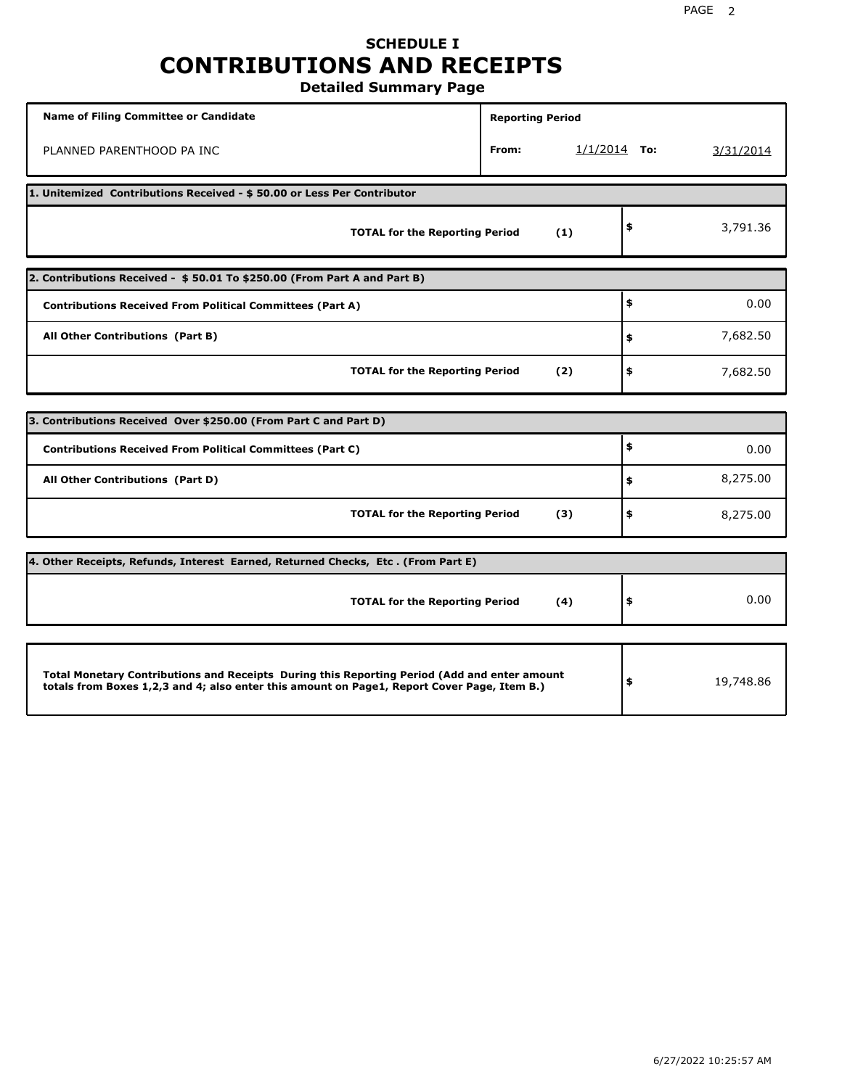## **SCHEDULE I CONTRIBUTIONS AND RECEIPTS Detailed Summary Page**

**Name of Filing Committee or Candidate Reporting Period Reporting Period** PLANNED PARENTHOOD PA INC **From:** 1/1/2014 **To:** 3/31/2014 **1. Unitemized Contributions Received - \$ 50.00 or Less Per Contributor TOTAL for the Reporting Period (1) \$** 3,791.36 **2. Contributions Received - \$ 50.01 To \$250.00 (From Part A and Part B) TOTAL for the Reporting Period (2) Contributions Received From Political Committees (Part A) All Other Contributions (Part B) \$ \$ \$** 0.00 7,682.50 7,682.50 **3. Contributions Received Over \$250.00 (From Part C and Part D) TOTAL for the Reporting Period (3) Contributions Received From Political Committees (Part C) All Other Contributions (Part D) \$ \$ \$** 0.00 8,275.00 8,275.00 **4. Other Receipts, Refunds, Interest Earned, Returned Checks, Etc . (From Part E) TOTAL for the Reporting Period (4) \$** 0.00 **Total Monetary Contributions and Receipts During this Reporting Period (Add and enter amount totals from Boxes 1,2,3 and 4; also enter this amount on Page1, Report Cover Page, Item B.) \$** 19,748.86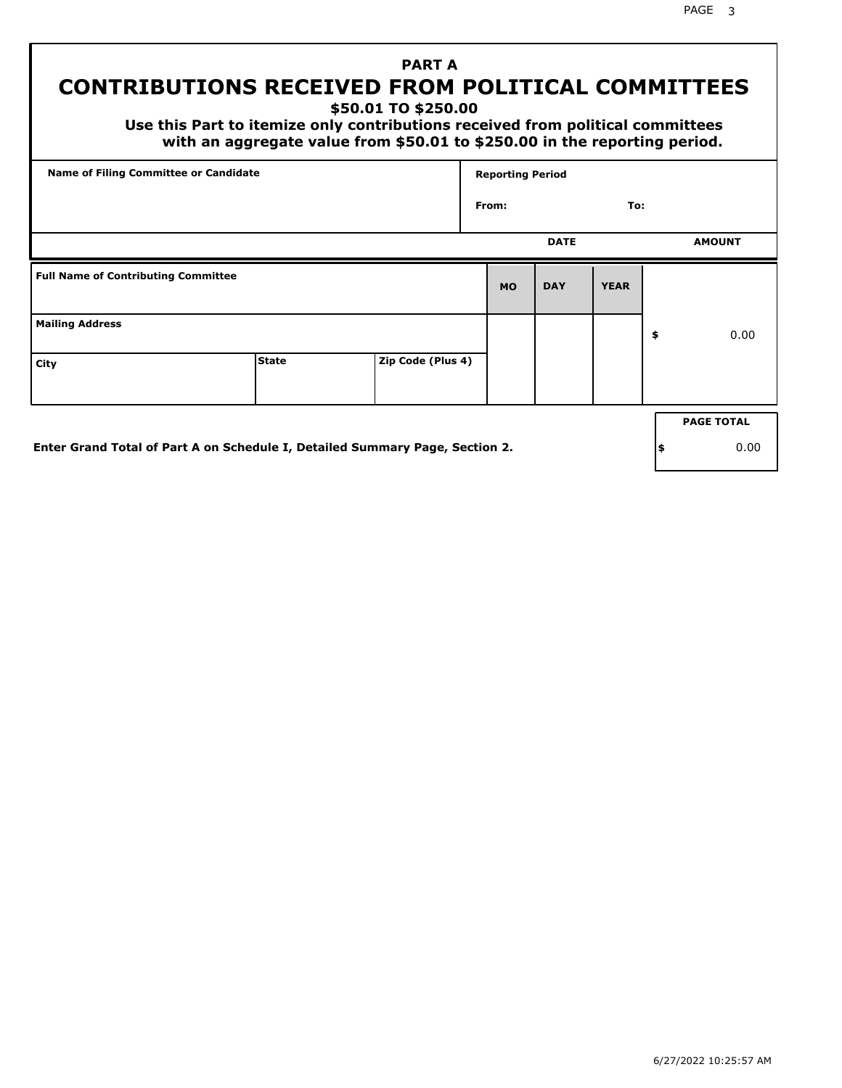# **PART A CONTRIBUTIONS RECEIVED FROM POLITICAL COMMITTEES**

**\$50.01 TO \$250.00**

 **Use this Part to itemize only contributions received from political committees with an aggregate value from \$50.01 to \$250.00 in the reporting period.**

| Name of Filing Committee or Candidate      |              |                   | <b>Reporting Period</b> |             |             |                   |
|--------------------------------------------|--------------|-------------------|-------------------------|-------------|-------------|-------------------|
|                                            |              |                   | From:                   |             | To:         |                   |
|                                            |              |                   |                         | <b>DATE</b> |             | <b>AMOUNT</b>     |
| <b>Full Name of Contributing Committee</b> |              |                   | <b>MO</b>               | <b>DAY</b>  | <b>YEAR</b> |                   |
| <b>Mailing Address</b>                     |              |                   |                         |             |             | \$<br>0.00        |
| City                                       | <b>State</b> | Zip Code (Plus 4) |                         |             |             |                   |
|                                            |              |                   |                         |             |             | <b>PAGE TOTAL</b> |

**Enter Grand Total of Part A on Schedule I, Detailed Summary Page, Section 2.**

**\$** 0.00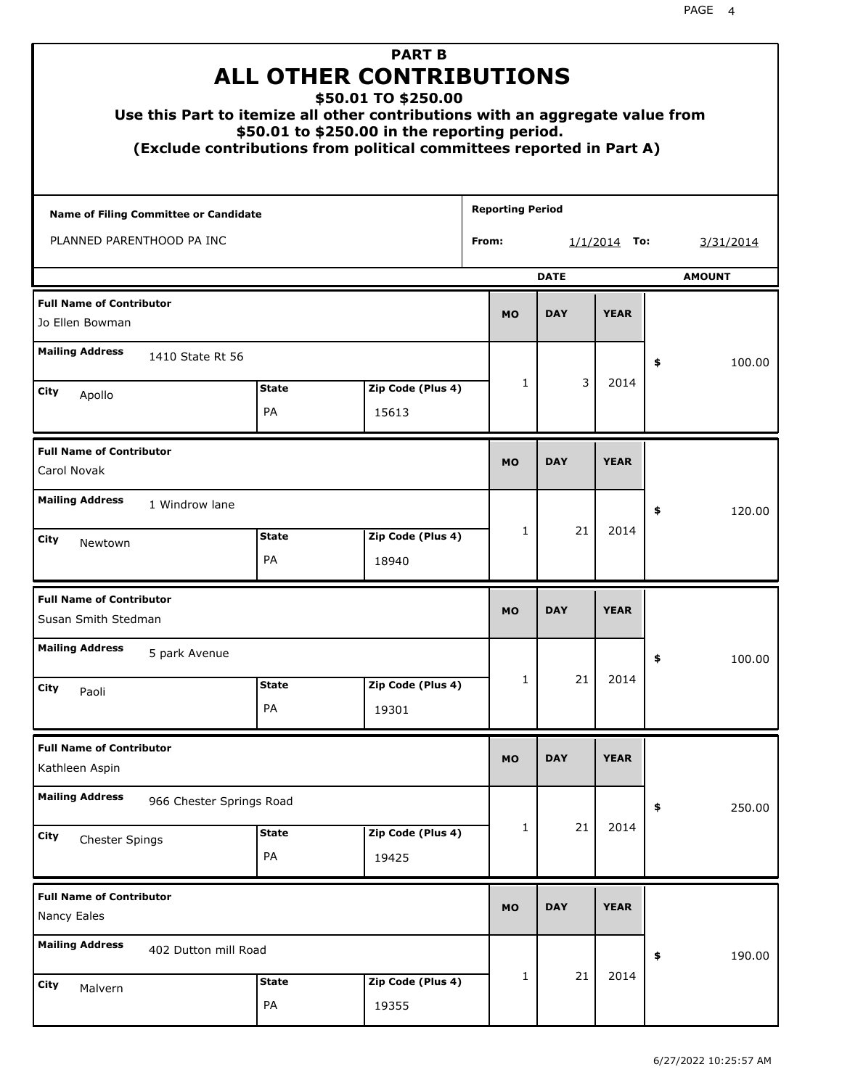|                                                        |                          | <b>PART B</b><br><b>ALL OTHER CONTRIBUTIONS</b><br>\$50.01 TO \$250.00<br>Use this Part to itemize all other contributions with an aggregate value from<br>\$50.01 to \$250.00 in the reporting period.<br>(Exclude contributions from political committees reported in Part A) |                         |             |                |    |               |
|--------------------------------------------------------|--------------------------|---------------------------------------------------------------------------------------------------------------------------------------------------------------------------------------------------------------------------------------------------------------------------------|-------------------------|-------------|----------------|----|---------------|
| Name of Filing Committee or Candidate                  |                          |                                                                                                                                                                                                                                                                                 | <b>Reporting Period</b> |             |                |    |               |
| PLANNED PARENTHOOD PA INC                              |                          |                                                                                                                                                                                                                                                                                 | From:                   |             | $1/1/2014$ To: |    | 3/31/2014     |
|                                                        |                          |                                                                                                                                                                                                                                                                                 |                         | <b>DATE</b> |                |    | <b>AMOUNT</b> |
| <b>Full Name of Contributor</b><br>Jo Ellen Bowman     |                          |                                                                                                                                                                                                                                                                                 | <b>MO</b>               | <b>DAY</b>  | <b>YEAR</b>    |    |               |
| <b>Mailing Address</b><br>1410 State Rt 56             |                          |                                                                                                                                                                                                                                                                                 |                         |             |                | \$ | 100.00        |
| City                                                   | <b>State</b>             | Zip Code (Plus 4)                                                                                                                                                                                                                                                               | $\mathbf{1}$            | 3           | 2014           |    |               |
| Apollo                                                 | PA                       | 15613                                                                                                                                                                                                                                                                           |                         |             |                |    |               |
| <b>Full Name of Contributor</b><br>Carol Novak         |                          |                                                                                                                                                                                                                                                                                 | <b>MO</b>               | <b>DAY</b>  | <b>YEAR</b>    |    |               |
| <b>Mailing Address</b><br>1 Windrow lane               |                          |                                                                                                                                                                                                                                                                                 |                         |             |                | \$ | 120.00        |
| City<br>Newtown                                        | <b>State</b><br>PA       | Zip Code (Plus 4)<br>18940                                                                                                                                                                                                                                                      | $\mathbf{1}$            | 21          | 2014           |    |               |
| <b>Full Name of Contributor</b><br>Susan Smith Stedman |                          |                                                                                                                                                                                                                                                                                 | <b>MO</b>               | <b>DAY</b>  | <b>YEAR</b>    |    |               |
| <b>Mailing Address</b><br>5 park Avenue                |                          |                                                                                                                                                                                                                                                                                 |                         |             |                | ÷, | 100.00        |
| <b>City</b><br>Paoli                                   | <b>State</b>             | Zip Code (Plus 4)                                                                                                                                                                                                                                                               | 1                       | 21          | 2014           |    |               |
|                                                        | PA                       | 19301                                                                                                                                                                                                                                                                           |                         |             |                |    |               |
| <b>Full Name of Contributor</b><br>Kathleen Aspin      |                          |                                                                                                                                                                                                                                                                                 | <b>MO</b>               | <b>DAY</b>  | <b>YEAR</b>    |    |               |
| <b>Mailing Address</b>                                 | 966 Chester Springs Road |                                                                                                                                                                                                                                                                                 |                         |             |                | \$ | 250.00        |
| <b>City</b><br>Chester Spings                          | <b>State</b><br>PA       | Zip Code (Plus 4)<br>19425                                                                                                                                                                                                                                                      | 1                       | 21          | 2014           |    |               |
| <b>Full Name of Contributor</b><br>Nancy Eales         |                          |                                                                                                                                                                                                                                                                                 | <b>MO</b>               | <b>DAY</b>  | <b>YEAR</b>    |    |               |
| <b>Mailing Address</b><br>402 Dutton mill Road         |                          |                                                                                                                                                                                                                                                                                 |                         |             |                | \$ | 190.00        |
| <b>City</b><br>Malvern                                 | <b>State</b>             | Zip Code (Plus 4)                                                                                                                                                                                                                                                               | 1                       | 21          | 2014           |    |               |
|                                                        | PA                       | 19355                                                                                                                                                                                                                                                                           |                         |             |                |    |               |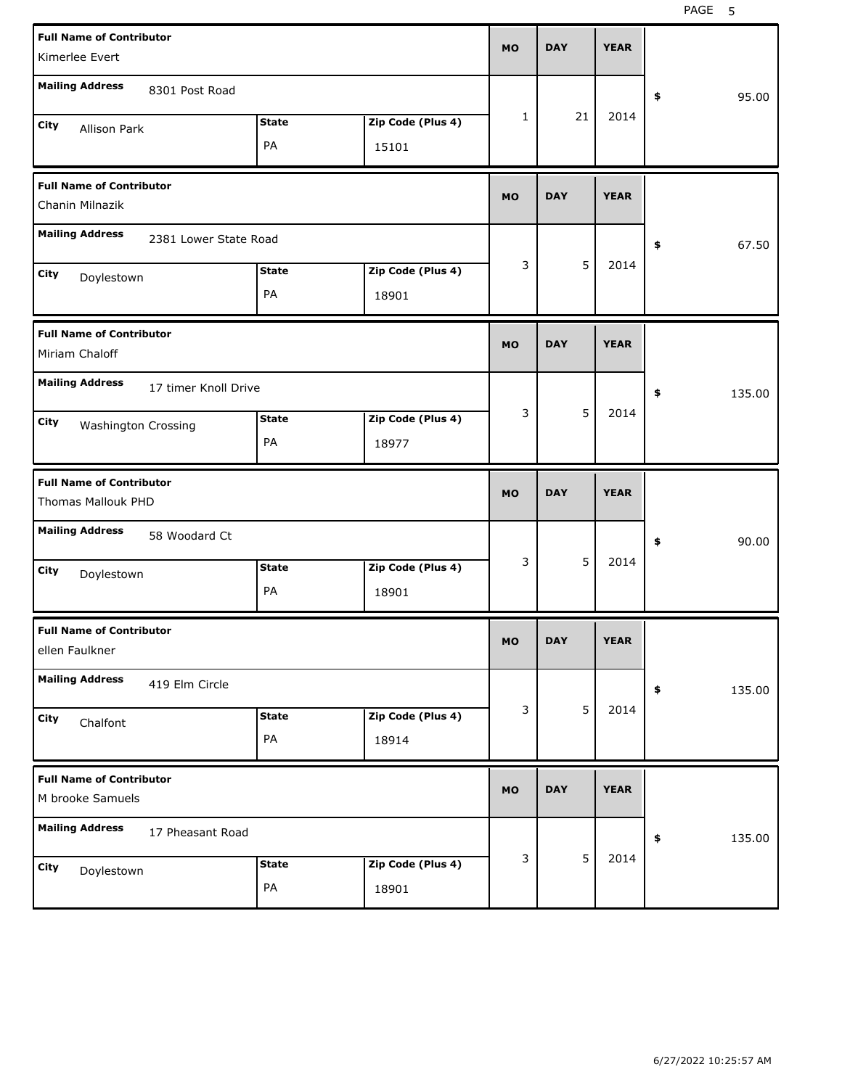| <b>Full Name of Contributor</b><br>Kimerlee Evert     |              |                   | <b>MO</b>    | <b>DAY</b> | <b>YEAR</b> |              |
|-------------------------------------------------------|--------------|-------------------|--------------|------------|-------------|--------------|
| <b>Mailing Address</b><br>8301 Post Road              |              |                   |              |            |             | \$<br>95.00  |
| City<br>Allison Park                                  | <b>State</b> | Zip Code (Plus 4) | $\mathbf{1}$ | 21         | 2014        |              |
|                                                       | PA           | 15101             |              |            |             |              |
| <b>Full Name of Contributor</b><br>Chanin Milnazik    |              |                   | <b>MO</b>    | <b>DAY</b> | <b>YEAR</b> |              |
| <b>Mailing Address</b><br>2381 Lower State Road       |              |                   |              |            |             | \$<br>67.50  |
| City<br>Doylestown                                    | <b>State</b> | Zip Code (Plus 4) | 3            | 5          | 2014        |              |
|                                                       | PA           | 18901             |              |            |             |              |
| <b>Full Name of Contributor</b><br>Miriam Chaloff     |              |                   | <b>MO</b>    | <b>DAY</b> | <b>YEAR</b> |              |
| <b>Mailing Address</b><br>17 timer Knoll Drive        |              |                   |              |            |             | \$<br>135.00 |
| City<br><b>Washington Crossing</b>                    | <b>State</b> | Zip Code (Plus 4) | 3            | 5          | 2014        |              |
|                                                       | PA           | 18977             |              |            |             |              |
|                                                       |              |                   |              |            |             |              |
| <b>Full Name of Contributor</b><br>Thomas Mallouk PHD |              |                   | <b>MO</b>    | <b>DAY</b> | <b>YEAR</b> |              |
| <b>Mailing Address</b><br>58 Woodard Ct               |              |                   |              |            |             | \$<br>90.00  |
| City<br>Doylestown                                    | <b>State</b> | Zip Code (Plus 4) | 3            | 5          | 2014        |              |
|                                                       | PA           | 18901             |              |            |             |              |
| <b>Full Name of Contributor</b><br>ellen Faulkner     |              |                   | <b>MO</b>    | DAY        | YEAK        |              |
| <b>Mailing Address</b><br>419 Elm Circle              |              |                   |              |            |             | 135.00<br>\$ |
| City<br>Chalfont                                      | <b>State</b> | Zip Code (Plus 4) | 3            | 5          | 2014        |              |
|                                                       | PA           | 18914             |              |            |             |              |
| <b>Full Name of Contributor</b><br>M brooke Samuels   |              |                   | <b>MO</b>    | <b>DAY</b> | <b>YEAR</b> |              |
| <b>Mailing Address</b><br>17 Pheasant Road            |              |                   |              |            |             | 135.00<br>\$ |
| <b>City</b><br>Doylestown                             | <b>State</b> | Zip Code (Plus 4) | 3            | 5          | 2014        |              |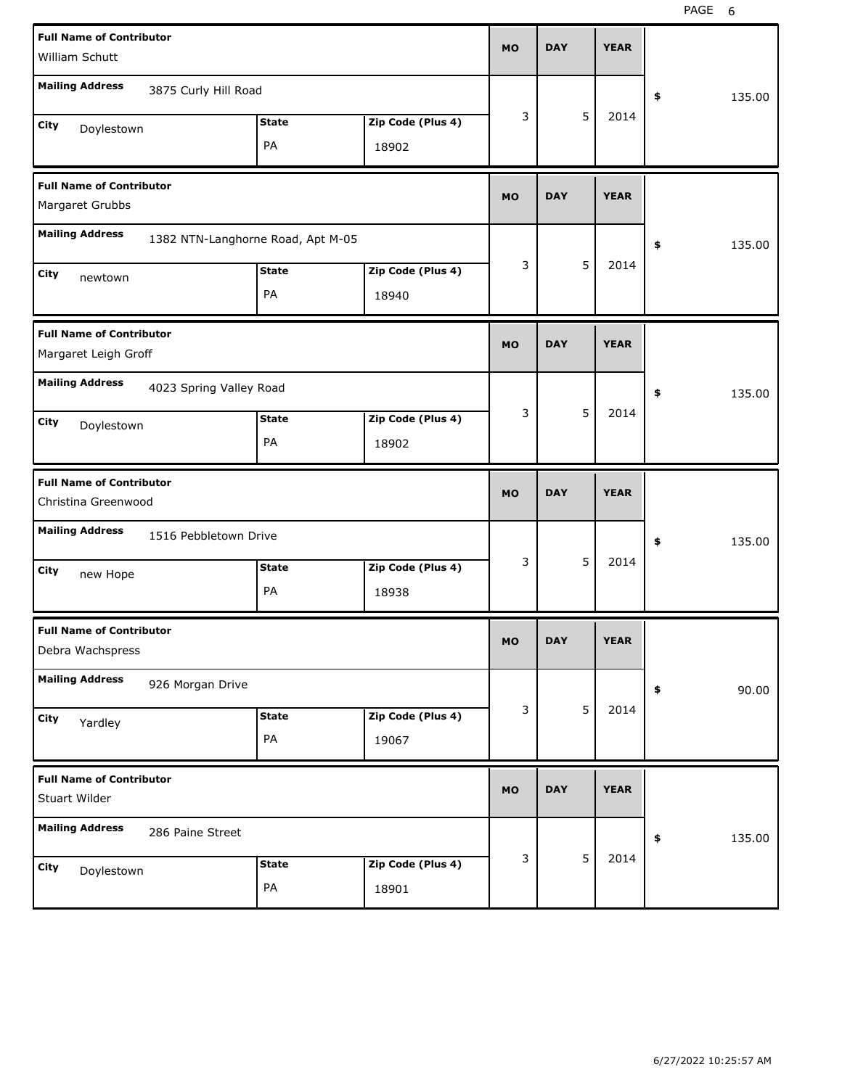| <b>Full Name of Contributor</b><br>William Schutt       |                                   |                    |                            | <b>MO</b> | <b>DAY</b> |   | <b>YEAR</b> |              |
|---------------------------------------------------------|-----------------------------------|--------------------|----------------------------|-----------|------------|---|-------------|--------------|
| <b>Mailing Address</b>                                  | 3875 Curly Hill Road              |                    |                            |           |            |   |             |              |
|                                                         |                                   |                    |                            | 3         |            | 5 | 2014        | \$<br>135.00 |
| City<br>Doylestown                                      |                                   | <b>State</b><br>PA | Zip Code (Plus 4)<br>18902 |           |            |   |             |              |
|                                                         |                                   |                    |                            |           |            |   |             |              |
| <b>Full Name of Contributor</b><br>Margaret Grubbs      |                                   |                    |                            | <b>MO</b> | <b>DAY</b> |   | <b>YEAR</b> |              |
| <b>Mailing Address</b>                                  | 1382 NTN-Langhorne Road, Apt M-05 |                    |                            |           |            |   |             | \$<br>135.00 |
| City<br>newtown                                         |                                   | <b>State</b>       | Zip Code (Plus 4)          | 3         |            | 5 | 2014        |              |
|                                                         |                                   | PA                 | 18940                      |           |            |   |             |              |
| <b>Full Name of Contributor</b><br>Margaret Leigh Groff |                                   |                    |                            | <b>MO</b> | <b>DAY</b> |   | <b>YEAR</b> |              |
| <b>Mailing Address</b>                                  |                                   |                    |                            |           |            |   |             |              |
|                                                         | 4023 Spring Valley Road           |                    |                            |           |            | 5 |             | \$<br>135.00 |
| City<br>Doylestown                                      |                                   | <b>State</b>       | Zip Code (Plus 4)          | 3         |            |   | 2014        |              |
|                                                         |                                   | PA                 | 18902                      |           |            |   |             |              |
|                                                         |                                   |                    |                            |           |            |   |             |              |
| <b>Full Name of Contributor</b><br>Christina Greenwood  |                                   |                    |                            | <b>MO</b> | <b>DAY</b> |   | <b>YEAR</b> |              |
| <b>Mailing Address</b>                                  | 1516 Pebbletown Drive             |                    |                            |           |            |   |             | \$<br>135.00 |
| City                                                    |                                   | <b>State</b>       | Zip Code (Plus 4)          | 3         |            | 5 | 2014        |              |
| new Hope                                                |                                   | PA                 | 18938                      |           |            |   |             |              |
| <b>Full Name of Contributor</b><br>Debra Wachspress     |                                   |                    |                            | MO        | <b>DAY</b> |   | <b>YEAR</b> |              |
| <b>Mailing Address</b>                                  | 926 Morgan Drive                  |                    |                            |           |            |   |             | \$           |
|                                                         |                                   | <b>State</b>       | Zip Code (Plus 4)          | 3         |            | 5 | 2014        | 90.00        |
| City<br>Yardley                                         |                                   | PA                 | 19067                      |           |            |   |             |              |
| <b>Full Name of Contributor</b><br>Stuart Wilder        |                                   |                    |                            | <b>MO</b> | <b>DAY</b> |   | <b>YEAR</b> |              |
| <b>Mailing Address</b>                                  | 286 Paine Street                  |                    |                            |           |            |   |             | \$<br>135.00 |
| City<br>Doylestown                                      |                                   | <b>State</b>       | Zip Code (Plus 4)          | 3         |            | 5 | 2014        |              |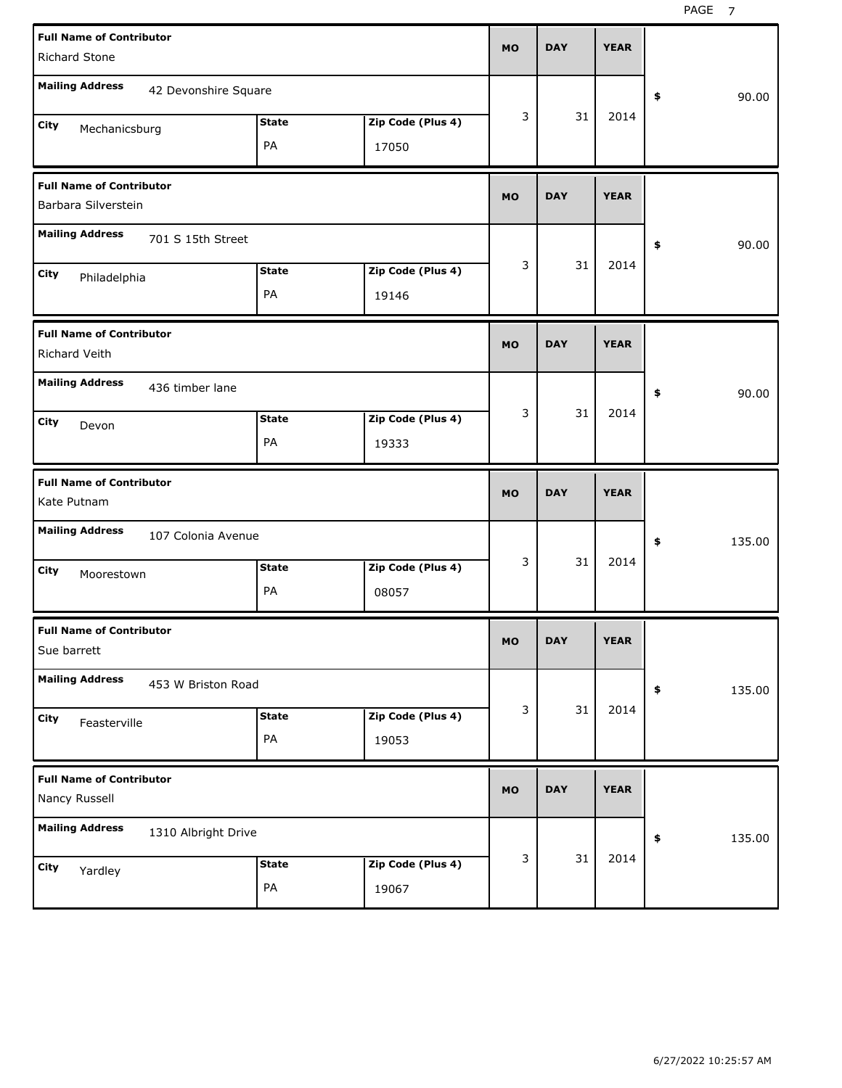| <b>Full Name of Contributor</b><br><b>Richard Stone</b>    |                    |                            | <b>MO</b> | <b>DAY</b> | <b>YEAR</b> |              |
|------------------------------------------------------------|--------------------|----------------------------|-----------|------------|-------------|--------------|
| <b>Mailing Address</b><br>42 Devonshire Square             |                    |                            |           |            |             | 90.00<br>\$  |
| City<br>Mechanicsburg                                      | <b>State</b><br>PA | Zip Code (Plus 4)<br>17050 | 3         | 31         | 2014        |              |
| <b>Full Name of Contributor</b><br>Barbara Silverstein     |                    |                            | <b>MO</b> | <b>DAY</b> | <b>YEAR</b> |              |
| <b>Mailing Address</b><br>701 S 15th Street                |                    |                            |           |            |             | 90.00<br>\$  |
| City<br>Philadelphia                                       | <b>State</b><br>PA | Zip Code (Plus 4)<br>19146 | 3         | 31         | 2014        |              |
| <b>Full Name of Contributor</b><br>Richard Veith           |                    |                            | <b>MO</b> | <b>DAY</b> | <b>YEAR</b> |              |
| <b>Mailing Address</b><br>436 timber lane<br>City<br>Devon | <b>State</b><br>PA | Zip Code (Plus 4)<br>19333 | 3         | 31         | 2014        | \$<br>90.00  |
|                                                            |                    |                            |           |            |             |              |
| <b>Full Name of Contributor</b><br>Kate Putnam             |                    |                            | <b>MO</b> | <b>DAY</b> | <b>YEAR</b> |              |
| <b>Mailing Address</b><br>107 Colonia Avenue               |                    |                            |           |            |             | \$<br>135.00 |
| City<br>Moorestown                                         | <b>State</b><br>PA | Zip Code (Plus 4)<br>08057 | 3         | 31         | 2014        |              |
| <b>Full Name of Contributor</b><br>Sue barrett             |                    |                            | MO        | <b>DAY</b> | <b>YEAR</b> |              |
| <b>Mailing Address</b><br>453 W Briston Road               |                    |                            |           |            |             | 135.00<br>\$ |
| City<br>Feasterville                                       | <b>State</b><br>PA | Zip Code (Plus 4)<br>19053 | 3         | 31         | 2014        |              |
| <b>Full Name of Contributor</b><br>Nancy Russell           |                    |                            | <b>MO</b> | <b>DAY</b> | <b>YEAR</b> |              |
| <b>Mailing Address</b><br>1310 Albright Drive              |                    |                            | 3         | 31         | 2014        | 135.00<br>\$ |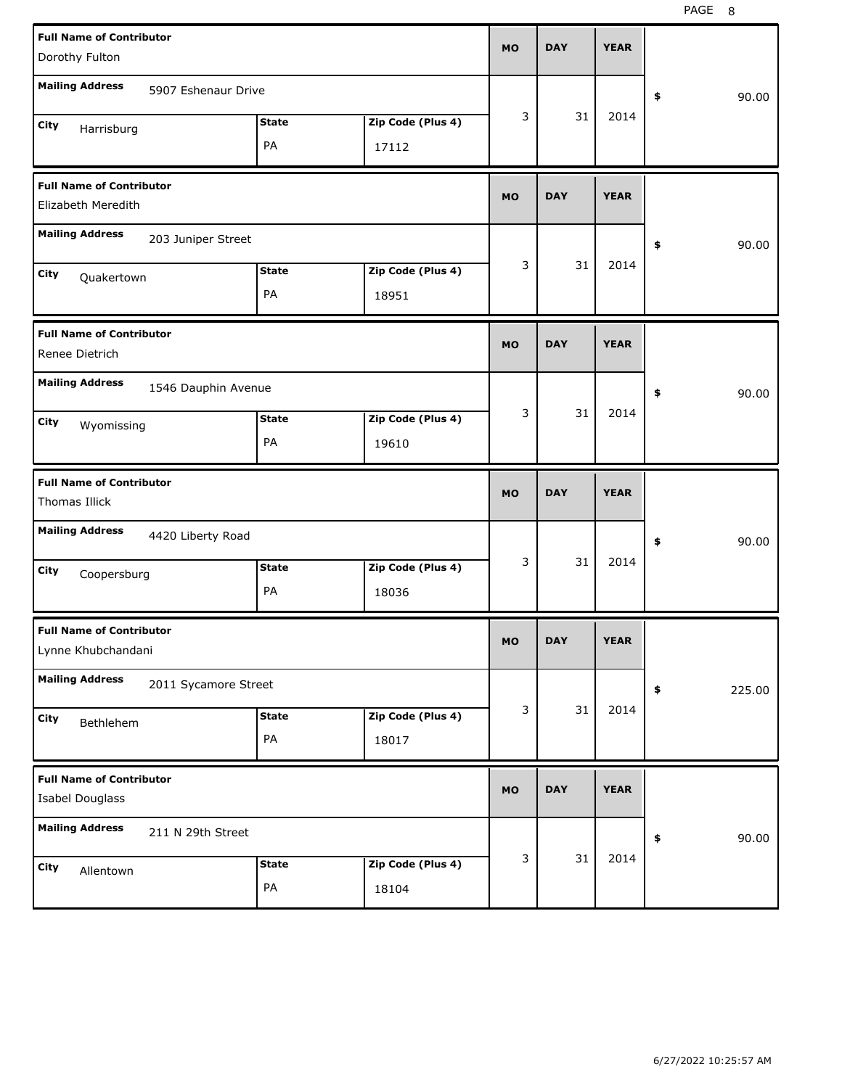| <b>Full Name of Contributor</b>                       |              |                   | <b>MO</b> | <b>DAY</b> | <b>YEAR</b> |              |
|-------------------------------------------------------|--------------|-------------------|-----------|------------|-------------|--------------|
| Dorothy Fulton                                        |              |                   |           |            |             |              |
| <b>Mailing Address</b><br>5907 Eshenaur Drive         |              |                   |           |            |             | \$<br>90.00  |
| City<br>Harrisburg                                    | <b>State</b> | Zip Code (Plus 4) | 3         | 31         | 2014        |              |
|                                                       | PA           | 17112             |           |            |             |              |
| <b>Full Name of Contributor</b>                       |              |                   | <b>MO</b> | <b>DAY</b> | <b>YEAR</b> |              |
| Elizabeth Meredith                                    |              |                   |           |            |             |              |
| <b>Mailing Address</b><br>203 Juniper Street          |              |                   |           |            |             | \$<br>90.00  |
| City<br>Quakertown                                    | <b>State</b> | Zip Code (Plus 4) | 3         | 31         | 2014        |              |
|                                                       | PA           | 18951             |           |            |             |              |
| <b>Full Name of Contributor</b><br>Renee Dietrich     |              |                   | <b>MO</b> | <b>DAY</b> | <b>YEAR</b> |              |
| <b>Mailing Address</b><br>1546 Dauphin Avenue         |              |                   |           |            |             | \$<br>90.00  |
| City<br>Wyomissing                                    | <b>State</b> | Zip Code (Plus 4) | 3         | 31         | 2014        |              |
|                                                       | PA           | 19610             |           |            |             |              |
|                                                       |              |                   |           |            |             |              |
| <b>Full Name of Contributor</b><br>Thomas Illick      |              |                   | <b>MO</b> | <b>DAY</b> | <b>YEAR</b> |              |
| <b>Mailing Address</b><br>4420 Liberty Road           |              |                   |           |            |             | \$<br>90.00  |
| City                                                  | <b>State</b> | Zip Code (Plus 4) | 3         | 31         | 2014        |              |
| Coopersburg                                           | PA           | 18036             |           |            |             |              |
| <b>Full Name of Contributor</b><br>Lynne Khubchandani |              |                   | МO        | <b>DAY</b> | <b>YEAR</b> |              |
| <b>Mailing Address</b><br>2011 Sycamore Street        |              |                   |           |            |             | \$<br>225.00 |
| City                                                  | <b>State</b> | Zip Code (Plus 4) | 3         | 31         | 2014        |              |
| Bethlehem                                             | PA           | 18017             |           |            |             |              |
| <b>Full Name of Contributor</b><br>Isabel Douglass    |              |                   | <b>MO</b> | <b>DAY</b> | <b>YEAR</b> |              |
| <b>Mailing Address</b><br>211 N 29th Street           |              |                   |           |            |             | \$<br>90.00  |
| City<br>Allentown                                     | <b>State</b> | Zip Code (Plus 4) | 3         | 31         | 2014        |              |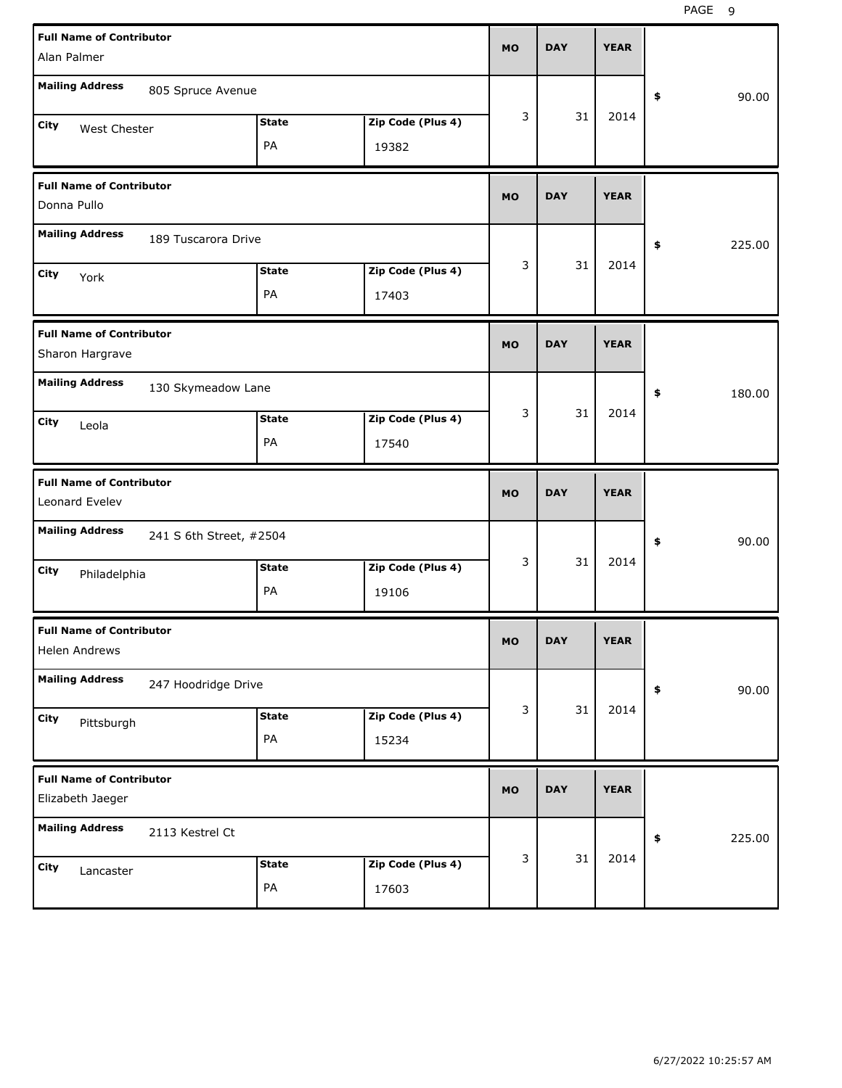| <b>Full Name of Contributor</b><br>Alan Palmer      |              |                   | <b>MO</b> | <b>DAY</b> | <b>YEAR</b> |              |
|-----------------------------------------------------|--------------|-------------------|-----------|------------|-------------|--------------|
|                                                     |              |                   |           |            |             |              |
| <b>Mailing Address</b><br>805 Spruce Avenue         |              |                   |           |            |             | \$<br>90.00  |
| City<br>West Chester                                | <b>State</b> | Zip Code (Plus 4) | 3         | 31         | 2014        |              |
|                                                     | PA           | 19382             |           |            |             |              |
| <b>Full Name of Contributor</b>                     |              |                   | <b>MO</b> | <b>DAY</b> | <b>YEAR</b> |              |
| Donna Pullo                                         |              |                   |           |            |             |              |
| <b>Mailing Address</b><br>189 Tuscarora Drive       |              |                   |           |            |             | \$<br>225.00 |
| City<br>York                                        | <b>State</b> | Zip Code (Plus 4) | 3         | 31         | 2014        |              |
|                                                     | PA           | 17403             |           |            |             |              |
| <b>Full Name of Contributor</b>                     |              |                   | <b>MO</b> | <b>DAY</b> | <b>YEAR</b> |              |
| Sharon Hargrave                                     |              |                   |           |            |             |              |
| <b>Mailing Address</b><br>130 Skymeadow Lane        |              |                   |           |            |             | \$<br>180.00 |
| City<br>Leola                                       | <b>State</b> | Zip Code (Plus 4) | 3         | 31         | 2014        |              |
|                                                     | PA           | 17540             |           |            |             |              |
|                                                     |              |                   |           |            |             |              |
| <b>Full Name of Contributor</b><br>Leonard Evelev   |              |                   | <b>MO</b> | <b>DAY</b> | <b>YEAR</b> |              |
| <b>Mailing Address</b><br>241 S 6th Street, #2504   |              |                   |           |            |             | \$<br>90.00  |
| City                                                | <b>State</b> | Zip Code (Plus 4) | 3         | 31         | 2014        |              |
| Philadelphia                                        | PA           | 19106             |           |            |             |              |
| <b>Full Name of Contributor</b><br>Helen Andrews    |              |                   | <b>MO</b> | DAY        | YEAK        |              |
| <b>Mailing Address</b><br>247 Hoodridge Drive       |              |                   |           |            |             | 90.00<br>\$  |
|                                                     | <b>State</b> | Zip Code (Plus 4) | 3         | 31         | 2014        |              |
| City<br>Pittsburgh                                  | PA           | 15234             |           |            |             |              |
| <b>Full Name of Contributor</b><br>Elizabeth Jaeger |              |                   | <b>MO</b> | <b>DAY</b> | <b>YEAR</b> |              |
| <b>Mailing Address</b><br>2113 Kestrel Ct           |              |                   |           |            |             | 225.00<br>\$ |
| City<br>Lancaster                                   | <b>State</b> | Zip Code (Plus 4) | 3         | 31         | 2014        |              |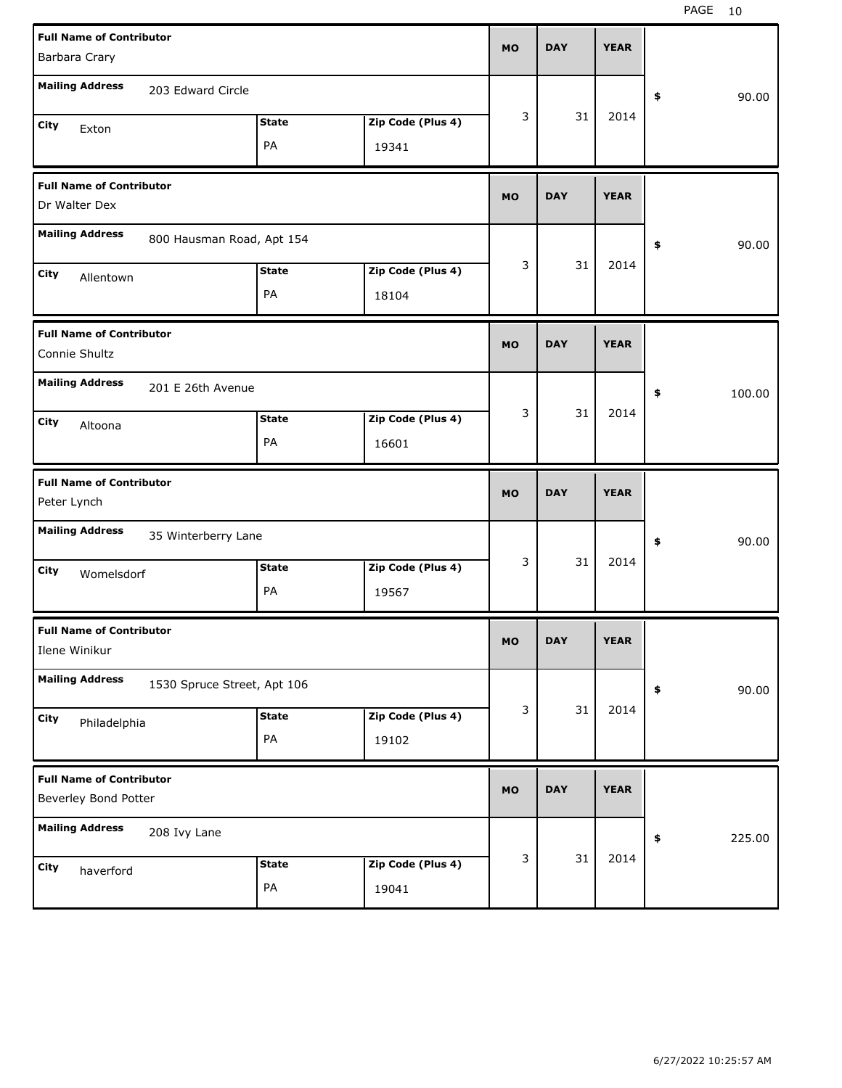| <b>Full Name of Contributor</b>                         |                             |              |                   | <b>MO</b> | <b>DAY</b> | <b>YEAR</b> |              |
|---------------------------------------------------------|-----------------------------|--------------|-------------------|-----------|------------|-------------|--------------|
| Barbara Crary                                           |                             |              |                   |           |            |             |              |
| <b>Mailing Address</b>                                  | 203 Edward Circle           |              |                   |           |            |             | \$<br>90.00  |
| City<br>Exton                                           |                             | <b>State</b> | Zip Code (Plus 4) | 3         | 31         | 2014        |              |
|                                                         |                             | PA           | 19341             |           |            |             |              |
| <b>Full Name of Contributor</b>                         |                             |              |                   | <b>MO</b> | <b>DAY</b> | <b>YEAR</b> |              |
| Dr Walter Dex                                           |                             |              |                   |           |            |             |              |
| <b>Mailing Address</b>                                  | 800 Hausman Road, Apt 154   |              |                   |           |            |             | \$<br>90.00  |
| City<br>Allentown                                       |                             | <b>State</b> | Zip Code (Plus 4) | 3         | 31         | 2014        |              |
|                                                         |                             | PA           | 18104             |           |            |             |              |
| <b>Full Name of Contributor</b>                         |                             |              |                   | <b>MO</b> | <b>DAY</b> | <b>YEAR</b> |              |
| Connie Shultz                                           |                             |              |                   |           |            |             |              |
| <b>Mailing Address</b>                                  | 201 E 26th Avenue           |              |                   |           |            |             | \$<br>100.00 |
| City<br>Altoona                                         |                             | <b>State</b> | Zip Code (Plus 4) | 3         | 31         | 2014        |              |
|                                                         |                             | PA           | 16601             |           |            |             |              |
|                                                         |                             |              |                   |           |            |             |              |
| <b>Full Name of Contributor</b>                         |                             |              |                   |           |            |             |              |
| Peter Lynch                                             |                             |              |                   | <b>MO</b> | <b>DAY</b> | <b>YEAR</b> |              |
| <b>Mailing Address</b>                                  | 35 Winterberry Lane         |              |                   |           |            |             | \$<br>90.00  |
| City<br>Womelsdorf                                      |                             | <b>State</b> | Zip Code (Plus 4) | 3         | 31         | 2014        |              |
|                                                         |                             | PA           | 19567             |           |            |             |              |
| <b>Full Name of Contributor</b>                         |                             |              |                   | MO        | <b>DAY</b> | <b>YEAR</b> |              |
| Ilene Winikur                                           |                             |              |                   |           |            |             |              |
| <b>Mailing Address</b>                                  | 1530 Spruce Street, Apt 106 |              |                   |           |            |             | \$<br>90.00  |
| City<br>Philadelphia                                    |                             | <b>State</b> | Zip Code (Plus 4) | 3         | 31         | 2014        |              |
|                                                         |                             | PA           | 19102             |           |            |             |              |
| <b>Full Name of Contributor</b><br>Beverley Bond Potter |                             |              |                   | MO        | <b>DAY</b> | <b>YEAR</b> |              |
| <b>Mailing Address</b>                                  | 208 Ivy Lane                |              |                   |           |            |             | \$<br>225.00 |
| City<br>haverford                                       |                             | <b>State</b> | Zip Code (Plus 4) | 3         | 31         | 2014        |              |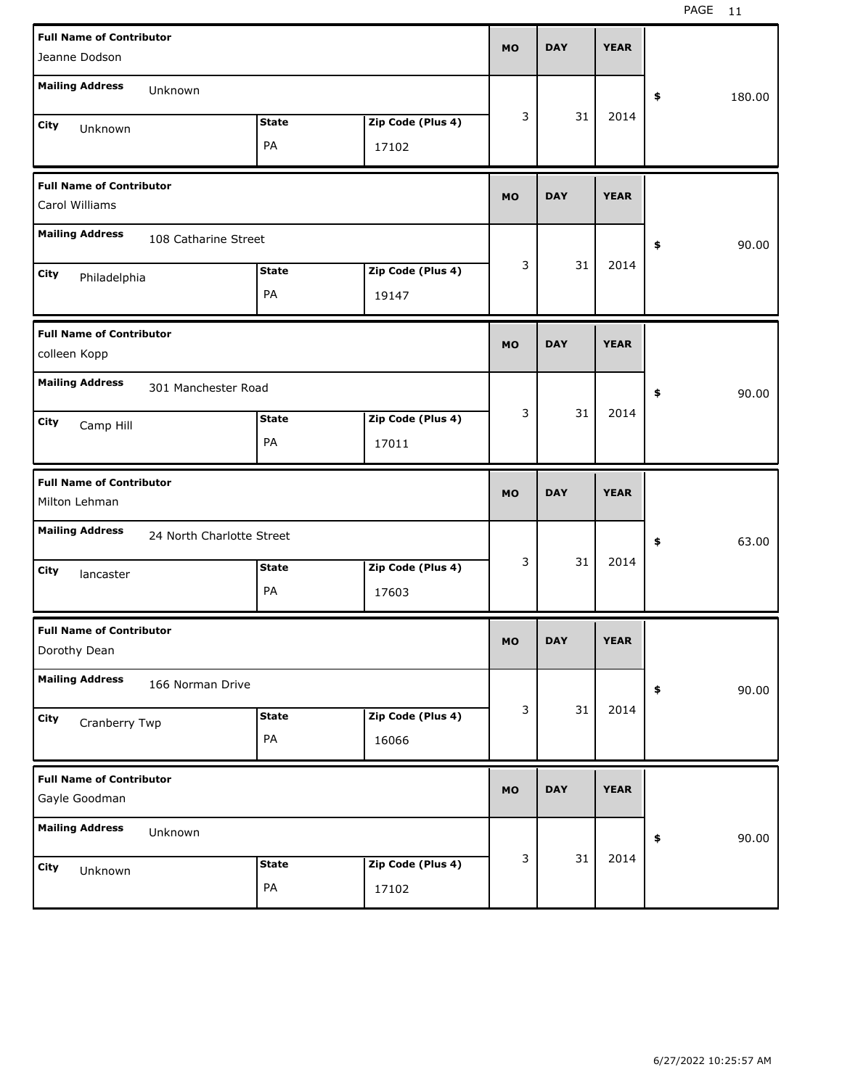| <b>Full Name of Contributor</b><br>Jeanne Dodson                          | <b>MO</b> |   | <b>DAY</b> | <b>YEAR</b> |              |
|---------------------------------------------------------------------------|-----------|---|------------|-------------|--------------|
| <b>Mailing Address</b><br>Unknown                                         |           |   |            |             | \$<br>180.00 |
| <b>State</b><br>Zip Code (Plus 4)<br>City<br>Unknown<br>PA<br>17102       |           | 3 | 31         | 2014        |              |
| <b>Full Name of Contributor</b><br>Carol Williams                         | <b>MO</b> |   | <b>DAY</b> | <b>YEAR</b> |              |
| <b>Mailing Address</b><br>108 Catharine Street                            |           |   |            |             | \$<br>90.00  |
| Zip Code (Plus 4)<br><b>State</b><br>City<br>Philadelphia<br>PA<br>19147  |           | 3 | 31         | 2014        |              |
| <b>Full Name of Contributor</b><br>colleen Kopp                           | <b>MO</b> |   | <b>DAY</b> | <b>YEAR</b> |              |
| <b>Mailing Address</b><br>301 Manchester Road                             |           |   |            |             | \$<br>90.00  |
| Zip Code (Plus 4)<br><b>State</b><br>City<br>Camp Hill<br>PA<br>17011     |           | 3 | 31         | 2014        |              |
|                                                                           |           |   |            |             |              |
| <b>Full Name of Contributor</b><br>Milton Lehman                          | <b>MO</b> |   | <b>DAY</b> | <b>YEAR</b> |              |
| <b>Mailing Address</b><br>24 North Charlotte Street                       |           |   |            |             | \$<br>63.00  |
| Zip Code (Plus 4)<br><b>State</b><br>City<br>lancaster<br>PA<br>17603     |           | 3 | 31         | 2014        |              |
| <b>Full Name of Contributor</b><br>Dorothy Dean                           | <b>MO</b> |   | <b>DAY</b> | <b>YEAR</b> |              |
| <b>Mailing Address</b><br>166 Norman Drive                                |           |   |            |             | \$<br>90.00  |
| Zip Code (Plus 4)<br><b>State</b><br>City<br>Cranberry Twp<br>PA<br>16066 |           | 3 | 31         | 2014        |              |
| <b>Full Name of Contributor</b><br>Gayle Goodman                          | <b>MO</b> |   | <b>DAY</b> | <b>YEAR</b> |              |
| <b>Mailing Address</b><br>Unknown                                         |           | 3 | 31         | 2014        | \$<br>90.00  |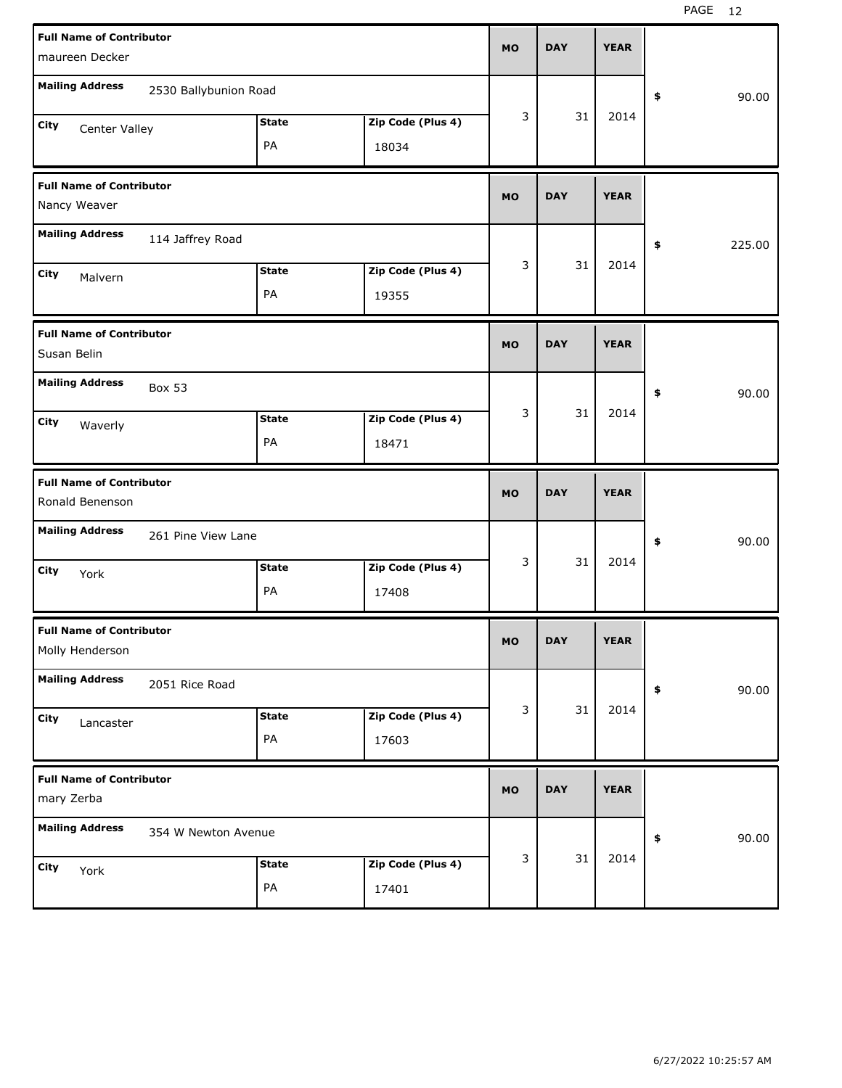| <b>Full Name of Contributor</b><br>maureen Decker                         | <b>MO</b> | <b>DAY</b> | <b>YEAR</b> |              |
|---------------------------------------------------------------------------|-----------|------------|-------------|--------------|
| <b>Mailing Address</b><br>2530 Ballybunion Road                           |           |            |             | \$<br>90.00  |
| <b>State</b><br>Zip Code (Plus 4)<br>City<br>Center Valley<br>PA<br>18034 | 3         | 31         | 2014        |              |
| <b>Full Name of Contributor</b><br>Nancy Weaver                           | <b>MO</b> | <b>DAY</b> | <b>YEAR</b> |              |
| <b>Mailing Address</b><br>114 Jaffrey Road                                |           |            |             | \$<br>225.00 |
| Zip Code (Plus 4)<br><b>State</b><br>City<br>Malvern<br>PA<br>19355       | 3         | 31         | 2014        |              |
| <b>Full Name of Contributor</b><br>Susan Belin                            | <b>MO</b> | <b>DAY</b> | <b>YEAR</b> |              |
| <b>Mailing Address</b><br><b>Box 53</b>                                   |           |            |             | \$<br>90.00  |
| Zip Code (Plus 4)<br><b>State</b><br>City<br>Waverly<br>PA<br>18471       | 3         | 31         | 2014        |              |
|                                                                           |           |            |             |              |
| <b>Full Name of Contributor</b><br>Ronald Benenson                        | <b>MO</b> | <b>DAY</b> | <b>YEAR</b> |              |
| <b>Mailing Address</b><br>261 Pine View Lane                              |           |            |             | \$<br>90.00  |
| Zip Code (Plus 4)<br><b>State</b><br>City<br>York<br>PA<br>17408          | 3         | 31         | 2014        |              |
| <b>Full Name of Contributor</b><br>Molly Henderson                        | <b>MO</b> | <b>DAY</b> | <b>YEAR</b> |              |
| <b>Mailing Address</b><br>2051 Rice Road                                  |           |            |             | 90.00<br>\$  |
| Zip Code (Plus 4)<br><b>State</b><br>City<br>Lancaster<br>PA<br>17603     | 3         | 31         | 2014        |              |
| <b>Full Name of Contributor</b><br>mary Zerba                             | <b>MO</b> | <b>DAY</b> | <b>YEAR</b> |              |
| <b>Mailing Address</b><br>354 W Newton Avenue                             | 3         | 31         | 2014        | 90.00<br>\$  |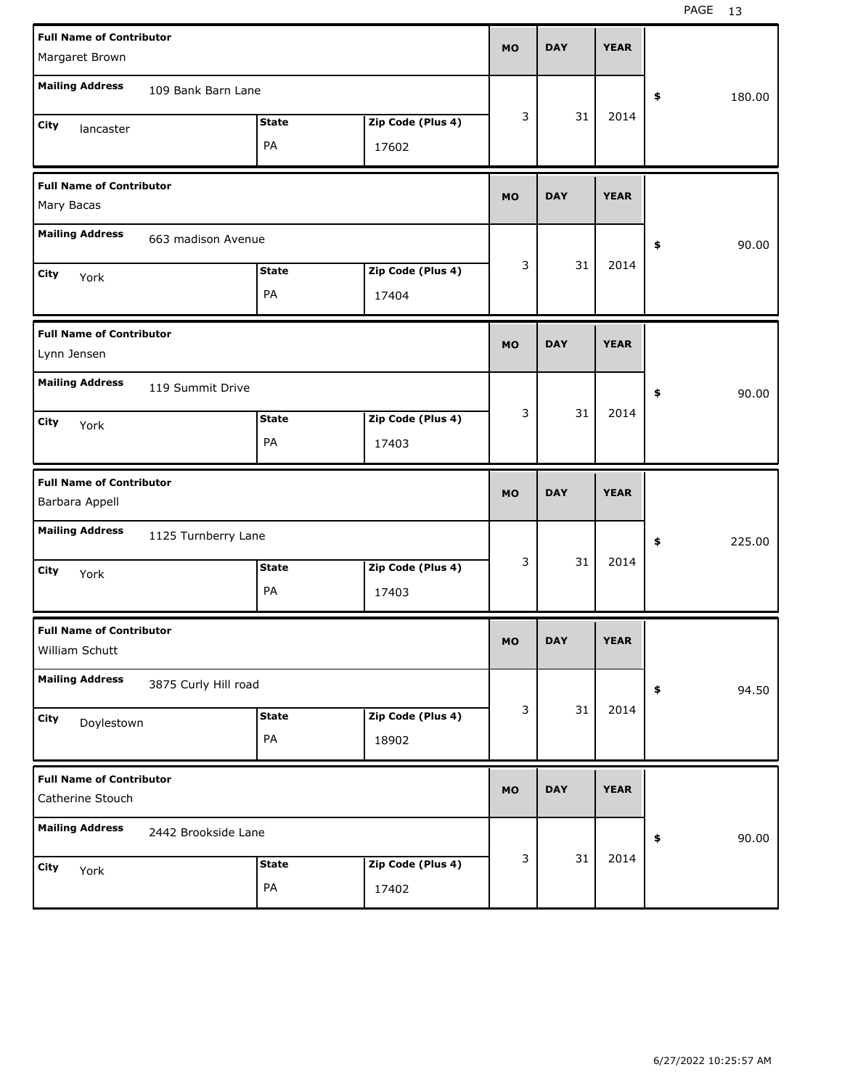| <b>Full Name of Contributor</b>                     |                      |              |                   |           | <b>DAY</b> | <b>YEAR</b> |              |
|-----------------------------------------------------|----------------------|--------------|-------------------|-----------|------------|-------------|--------------|
| Margaret Brown                                      |                      |              |                   | <b>MO</b> |            |             |              |
| <b>Mailing Address</b>                              | 109 Bank Barn Lane   |              |                   |           |            |             | \$<br>180.00 |
| <b>City</b><br>lancaster                            |                      | <b>State</b> | Zip Code (Plus 4) | 3         | 31         | 2014        |              |
|                                                     |                      | PA           | 17602             |           |            |             |              |
| <b>Full Name of Contributor</b><br>Mary Bacas       |                      |              |                   | <b>MO</b> | <b>DAY</b> | <b>YEAR</b> |              |
| <b>Mailing Address</b>                              | 663 madison Avenue   |              |                   |           |            |             | \$<br>90.00  |
| <b>City</b><br>York                                 |                      | <b>State</b> | Zip Code (Plus 4) | 3         | 31         | 2014        |              |
|                                                     |                      | PA           | 17404             |           |            |             |              |
| <b>Full Name of Contributor</b><br>Lynn Jensen      |                      |              |                   | <b>MO</b> | <b>DAY</b> | <b>YEAR</b> |              |
| <b>Mailing Address</b>                              | 119 Summit Drive     |              |                   |           |            |             | \$<br>90.00  |
| <b>City</b><br>York                                 |                      | <b>State</b> | Zip Code (Plus 4) | 3         | 31         | 2014        |              |
|                                                     |                      | PA           | 17403             |           |            |             |              |
|                                                     |                      |              |                   |           |            |             |              |
| <b>Full Name of Contributor</b><br>Barbara Appell   |                      |              |                   | <b>MO</b> | <b>DAY</b> | <b>YEAR</b> |              |
| <b>Mailing Address</b>                              | 1125 Turnberry Lane  |              |                   |           |            |             | \$<br>225.00 |
| <b>City</b><br>York                                 |                      | <b>State</b> | Zip Code (Plus 4) | 3         | 31         | 2014        |              |
|                                                     |                      | PA           | 17403             |           |            |             |              |
| <b>Full Name of Contributor</b><br>William Schutt   |                      |              |                   | MO.       | DAY        | YEAK        |              |
| <b>Mailing Address</b>                              | 3875 Curly Hill road |              |                   |           |            |             | 94.50<br>\$  |
| City                                                |                      | <b>State</b> | Zip Code (Plus 4) | 3         | 31         | 2014        |              |
| Doylestown                                          |                      | PA           | 18902             |           |            |             |              |
| <b>Full Name of Contributor</b><br>Catherine Stouch |                      |              |                   | <b>MO</b> | <b>DAY</b> | <b>YEAR</b> |              |
| <b>Mailing Address</b>                              | 2442 Brookside Lane  |              |                   |           |            |             | 90.00<br>\$  |
| City<br>York                                        |                      | <b>State</b> | Zip Code (Plus 4) | 3         | 31         | 2014        |              |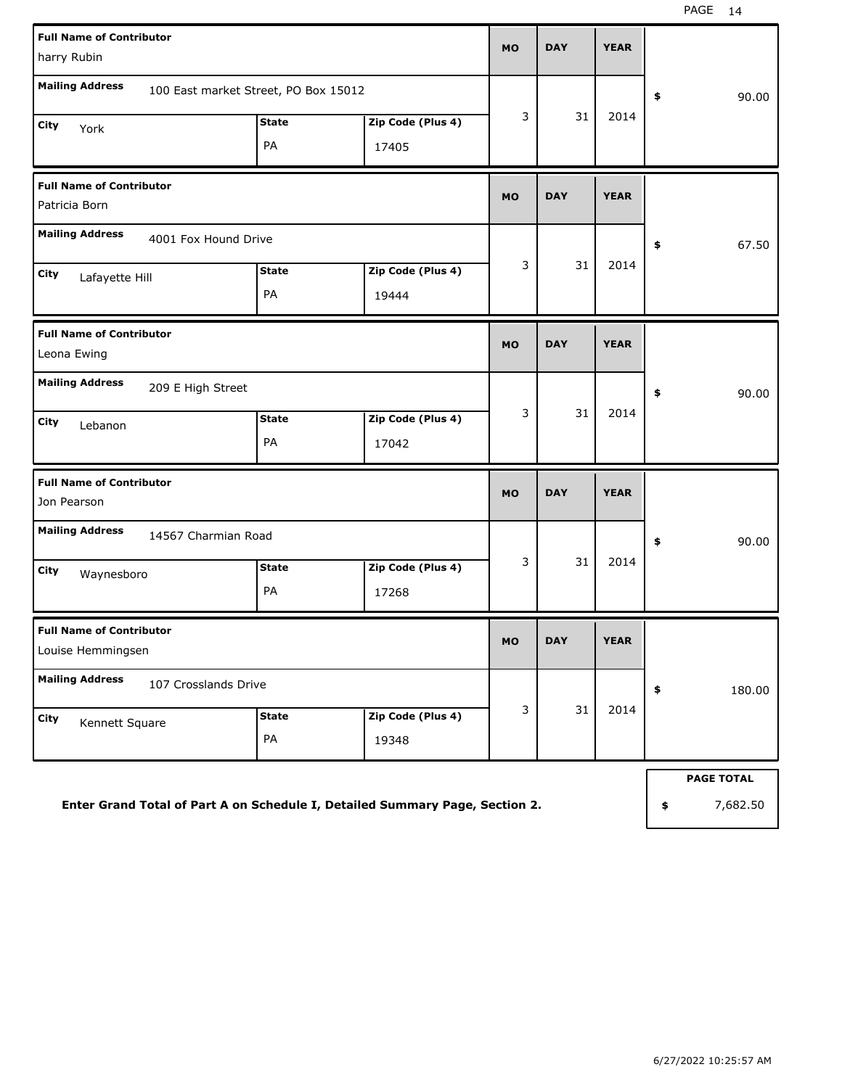| <b>Full Name of Contributor</b><br>harry Rubin                               |                                      | <b>MO</b>                  | <b>DAY</b> | <b>YEAR</b>       |             |              |
|------------------------------------------------------------------------------|--------------------------------------|----------------------------|------------|-------------------|-------------|--------------|
| <b>Mailing Address</b>                                                       | 100 East market Street, PO Box 15012 |                            |            |                   |             | \$<br>90.00  |
| City<br>York                                                                 | <b>State</b><br>PA                   | Zip Code (Plus 4)<br>17405 | 3          | 31                | 2014        |              |
| <b>Full Name of Contributor</b><br>Patricia Born                             |                                      |                            | <b>MO</b>  | <b>DAY</b>        | <b>YEAR</b> |              |
| <b>Mailing Address</b><br>4001 Fox Hound Drive                               |                                      |                            |            |                   |             | \$<br>67.50  |
| City<br>Lafayette Hill                                                       | <b>State</b><br>PA                   | Zip Code (Plus 4)<br>19444 | 3          | 31                | 2014        |              |
| <b>Full Name of Contributor</b><br>Leona Ewing                               |                                      |                            | <b>MO</b>  | <b>DAY</b>        | <b>YEAR</b> |              |
| <b>Mailing Address</b><br>209 E High Street                                  |                                      |                            |            |                   |             | \$<br>90.00  |
| City<br>Lebanon                                                              | <b>State</b><br>PA                   | Zip Code (Plus 4)<br>17042 | 3          | 31                | 2014        |              |
| <b>Full Name of Contributor</b><br>Jon Pearson                               |                                      |                            | <b>MO</b>  | <b>DAY</b>        | <b>YEAR</b> |              |
| <b>Mailing Address</b><br>14567 Charmian Road                                |                                      |                            |            |                   |             | \$<br>90.00  |
| City<br>Waynesboro                                                           | <b>State</b><br>PA                   | Zip Code (Plus 4)<br>17268 | 3          | 31                | 2014        |              |
| <b>Full Name of Contributor</b><br>Louise Hemmingsen                         |                                      |                            | <b>MO</b>  | <b>DAY</b>        | <b>YEAR</b> |              |
| <b>Mailing Address</b><br>107 Crosslands Drive                               |                                      |                            |            |                   |             | \$<br>180.00 |
| City<br>Kennett Square                                                       | <b>State</b><br>PA                   | Zip Code (Plus 4)<br>19348 | 3          | 31                | 2014        |              |
|                                                                              |                                      |                            |            | <b>PAGE TOTAL</b> |             |              |
| Enter Grand Total of Part A on Schedule I, Detailed Summary Page, Section 2. |                                      |                            |            | \$<br>7,682.50    |             |              |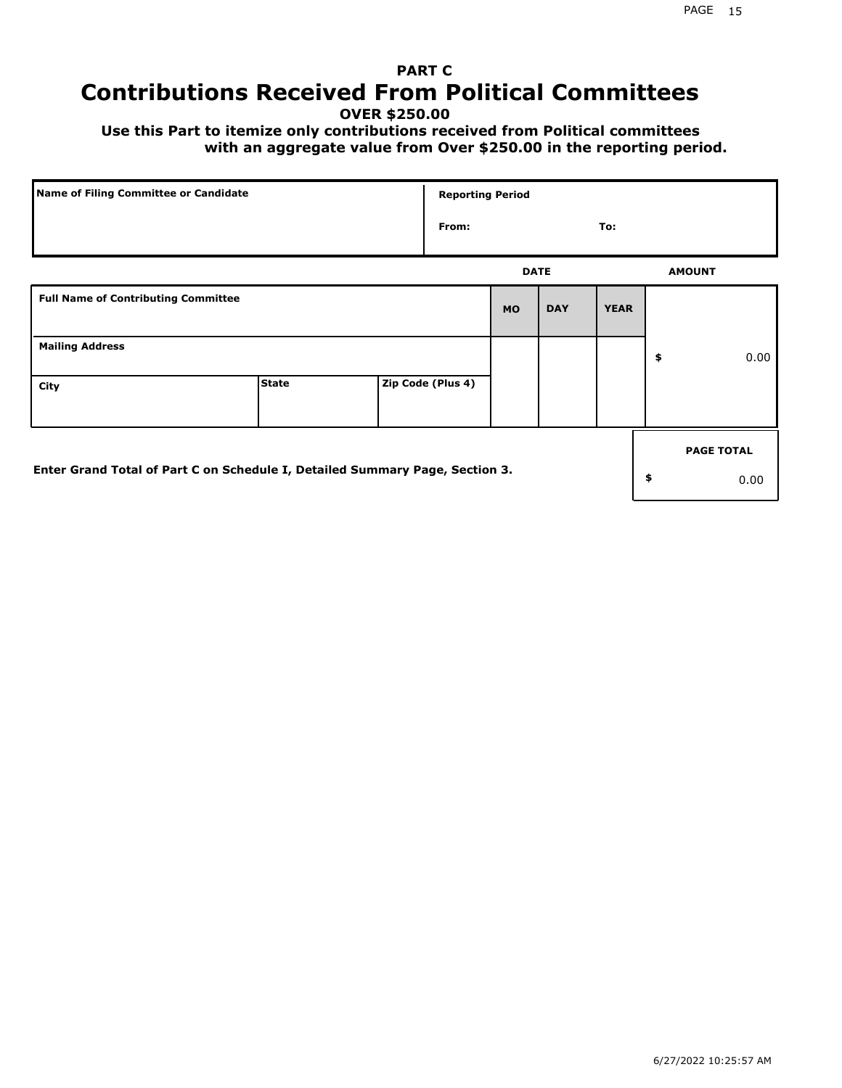# **PART C Contributions Received From Political Committees**

**OVER \$250.00**

 **Use this Part to itemize only contributions received from Political committees with an aggregate value from Over \$250.00 in the reporting period.**

| Name of Filing Committee or Candidate                                        | <b>Reporting Period</b> |                   |             |            |             |    |                   |
|------------------------------------------------------------------------------|-------------------------|-------------------|-------------|------------|-------------|----|-------------------|
|                                                                              |                         | From:             |             |            | To:         |    |                   |
|                                                                              |                         |                   | <b>DATE</b> |            |             |    | <b>AMOUNT</b>     |
| <b>Full Name of Contributing Committee</b>                                   |                         |                   | <b>MO</b>   | <b>DAY</b> | <b>YEAR</b> |    |                   |
| <b>Mailing Address</b>                                                       |                         |                   |             |            |             | \$ | 0.00              |
| City                                                                         | <b>State</b>            | Zip Code (Plus 4) |             |            |             |    |                   |
|                                                                              |                         |                   |             |            |             |    | <b>PAGE TOTAL</b> |
| Enter Grand Total of Part C on Schedule I, Detailed Summary Page, Section 3. |                         |                   |             |            |             | \$ | 0.00              |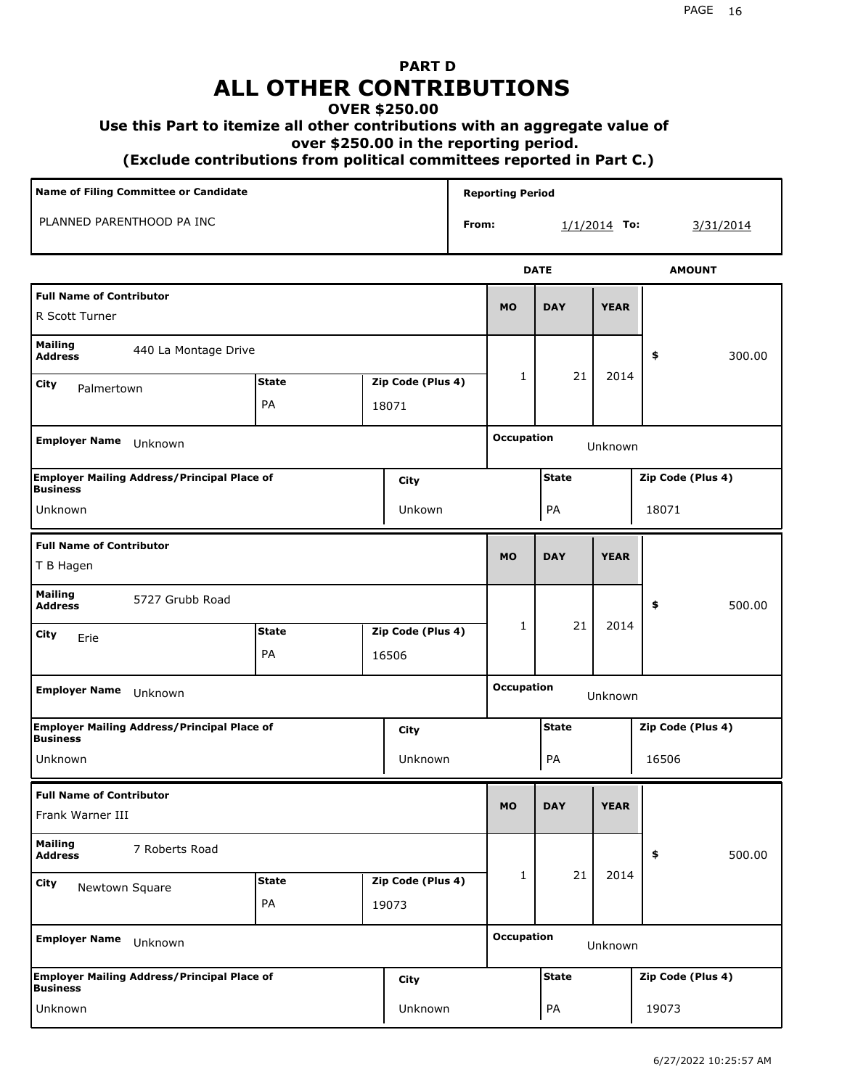## **PART D ALL OTHER CONTRIBUTIONS**

## **OVER \$250.00**

### **Use this Part to itemize all other contributions with an aggregate value of**

 **over \$250.00 in the reporting period.**

 **(Exclude contributions from political committees reported in Part C.)** 

| Name of Filing Committee or Candidate                                                |              |  |                   |       | <b>Reporting Period</b>      |              |                |                   |  |
|--------------------------------------------------------------------------------------|--------------|--|-------------------|-------|------------------------------|--------------|----------------|-------------------|--|
| PLANNED PARENTHOOD PA INC                                                            |              |  |                   | From: |                              |              | $1/1/2014$ To: | 3/31/2014         |  |
|                                                                                      |              |  |                   |       |                              | <b>DATE</b>  |                | <b>AMOUNT</b>     |  |
| <b>Full Name of Contributor</b><br>R Scott Turner                                    |              |  |                   |       | <b>MO</b>                    | <b>DAY</b>   | <b>YEAR</b>    |                   |  |
| Mailing<br>440 La Montage Drive<br><b>Address</b>                                    |              |  |                   |       |                              |              |                | 300.00<br>\$      |  |
| City<br>Palmertown                                                                   | <b>State</b> |  | Zip Code (Plus 4) |       | $\mathbf{1}$                 | 21           | 2014           |                   |  |
|                                                                                      | PA<br>18071  |  |                   |       |                              |              |                |                   |  |
| <b>Employer Name</b><br>Unknown                                                      |              |  |                   |       | <b>Occupation</b>            |              | Unknown        |                   |  |
| <b>Employer Mailing Address/Principal Place of</b>                                   |              |  | City              |       |                              | <b>State</b> |                | Zip Code (Plus 4) |  |
| <b>Business</b><br>Unkown<br>Unknown                                                 |              |  |                   |       |                              | PA           |                | 18071             |  |
| <b>Full Name of Contributor</b><br>T B Hagen                                         |              |  |                   |       | <b>MO</b>                    | <b>DAY</b>   | <b>YEAR</b>    |                   |  |
| <b>Mailing</b><br>5727 Grubb Road<br><b>Address</b>                                  |              |  |                   |       |                              |              |                | \$<br>500.00      |  |
| City<br>Erie                                                                         | <b>State</b> |  | Zip Code (Plus 4) |       | $\mathbf{1}$                 | 21           | 2014           |                   |  |
|                                                                                      | PA           |  | 16506             |       |                              |              |                |                   |  |
| <b>Employer Name</b><br>Unknown                                                      |              |  |                   |       | <b>Occupation</b><br>Unknown |              |                |                   |  |
| <b>Employer Mailing Address/Principal Place of</b><br><b>Business</b>                |              |  | City              |       | <b>State</b>                 |              |                | Zip Code (Plus 4) |  |
| Unknown                                                                              |              |  | Unknown           |       |                              | PA           |                | 16506             |  |
| <b>Full Name of Contributor</b><br>Frank Warner III                                  |              |  |                   |       | <b>MO</b>                    | <b>DAY</b>   | <b>YEAR</b>    |                   |  |
| <b>Mailing</b><br>7 Roberts Road<br><b>Address</b>                                   |              |  |                   |       |                              |              |                | \$<br>500.00      |  |
| City<br>Newtown Square                                                               | <b>State</b> |  | Zip Code (Plus 4) |       | 1                            | 21           | 2014           |                   |  |
|                                                                                      | PA           |  | 19073             |       |                              |              |                |                   |  |
| <b>Employer Name</b><br>Unknown                                                      |              |  |                   |       | <b>Occupation</b><br>Unknown |              |                |                   |  |
| <b>Employer Mailing Address/Principal Place of</b><br><b>City</b><br><b>Business</b> |              |  |                   |       | <b>State</b>                 |              |                | Zip Code (Plus 4) |  |
| Unknown                                                                              |              |  | Unknown           |       |                              | PA           |                | 19073             |  |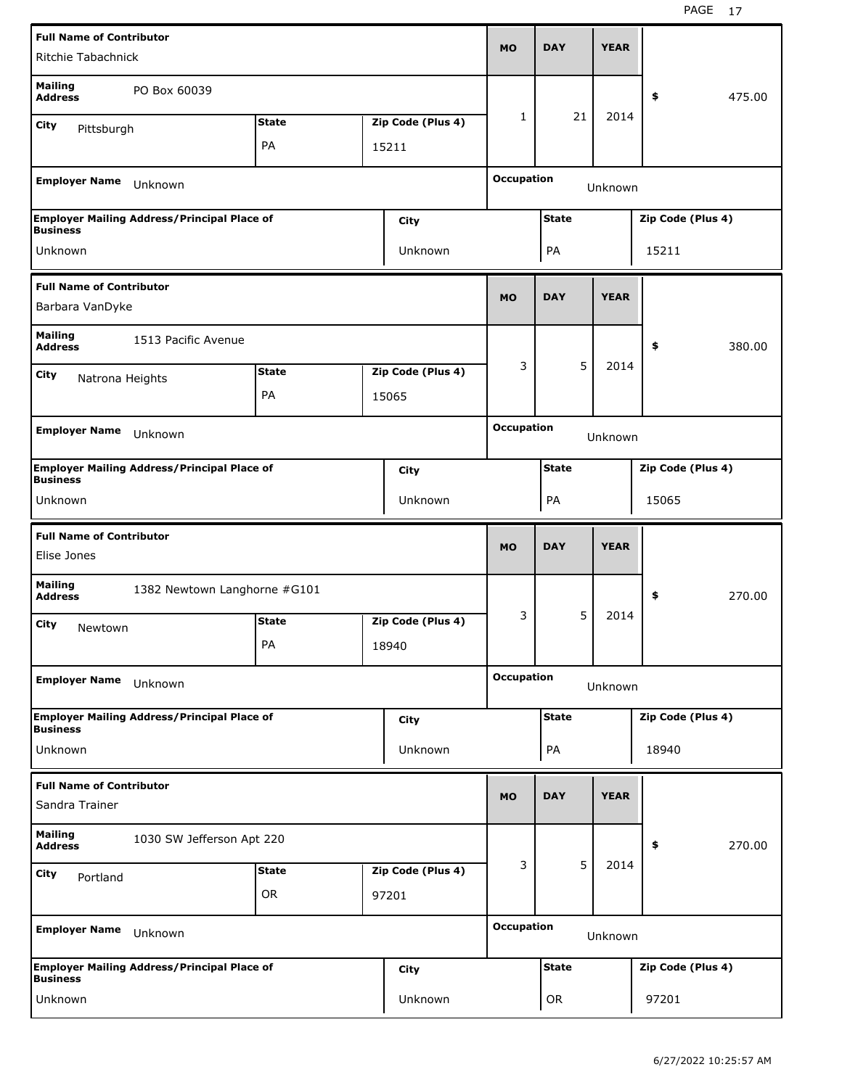| <b>Full Name of Contributor</b>                         |                                                    |              |  |                   |                                   |              |             |                   |        |
|---------------------------------------------------------|----------------------------------------------------|--------------|--|-------------------|-----------------------------------|--------------|-------------|-------------------|--------|
| Ritchie Tabachnick                                      |                                                    |              |  |                   | <b>MO</b>                         | <b>DAY</b>   | <b>YEAR</b> |                   |        |
| <b>Mailing</b><br><b>Address</b>                        | PO Box 60039                                       |              |  |                   |                                   |              |             | \$                | 475.00 |
| City<br>Pittsburgh                                      |                                                    | <b>State</b> |  | Zip Code (Plus 4) | 1                                 | 21           | 2014        |                   |        |
|                                                         |                                                    | PA           |  | 15211             |                                   |              |             |                   |        |
| <b>Employer Name</b>                                    | Unknown                                            |              |  |                   | <b>Occupation</b>                 |              | Unknown     |                   |        |
|                                                         | <b>Employer Mailing Address/Principal Place of</b> |              |  | City              | <b>State</b><br>Zip Code (Plus 4) |              |             |                   |        |
| <b>Business</b><br>Unknown                              |                                                    |              |  | Unknown           | 15211<br>PA                       |              |             |                   |        |
|                                                         |                                                    |              |  |                   |                                   |              |             |                   |        |
| <b>Full Name of Contributor</b><br>Barbara VanDyke      |                                                    |              |  |                   | <b>MO</b>                         | <b>DAY</b>   | <b>YEAR</b> |                   |        |
| <b>Mailing</b><br>1513 Pacific Avenue<br><b>Address</b> |                                                    |              |  |                   |                                   |              |             | \$                | 380.00 |
| <b>State</b><br>Zip Code (Plus 4)<br>City               |                                                    |              |  |                   | 3                                 | 5            | 2014        |                   |        |
|                                                         | Natrona Heights<br>PA                              |              |  |                   |                                   |              |             |                   |        |
|                                                         | 15065                                              |              |  |                   |                                   |              |             |                   |        |
| <b>Employer Name</b>                                    | Unknown                                            |              |  |                   | <b>Occupation</b>                 |              | Unknown     |                   |        |
| <b>Business</b>                                         | <b>Employer Mailing Address/Principal Place of</b> |              |  | City              |                                   | <b>State</b> |             | Zip Code (Plus 4) |        |
| Unknown                                                 |                                                    |              |  | Unknown           | PA<br>15065                       |              |             |                   |        |
| <b>Full Name of Contributor</b>                         |                                                    |              |  |                   |                                   |              |             |                   |        |
| Elise Jones                                             |                                                    |              |  |                   | <b>MO</b>                         | <b>DAY</b>   | <b>YEAR</b> |                   |        |
| <b>Mailing</b><br><b>Address</b>                        | 1382 Newtown Langhorne #G101                       |              |  |                   |                                   |              |             | \$                | 270.00 |
| City<br>Newtown                                         |                                                    | <b>State</b> |  | Zip Code (Plus 4) | 3                                 | 5            | 2014        |                   |        |
|                                                         |                                                    | PA           |  | 18940             |                                   |              |             |                   |        |
| <b>Employer Name</b>                                    | Unknown                                            |              |  |                   | <b>Occupation</b>                 |              | Unknown     |                   |        |
|                                                         | <b>Employer Mailing Address/Principal Place of</b> |              |  | City              |                                   | <b>State</b> |             | Zip Code (Plus 4) |        |
| <b>Business</b><br>Unknown                              |                                                    |              |  | Unknown           |                                   | PA           |             | 18940             |        |
| <b>Full Name of Contributor</b><br>Sandra Trainer       |                                                    |              |  |                   | <b>MO</b>                         | <b>DAY</b>   | <b>YEAR</b> |                   |        |
| <b>Mailing</b><br><b>Address</b>                        | 1030 SW Jefferson Apt 220                          |              |  |                   |                                   |              |             | \$                | 270.00 |
|                                                         |                                                    | <b>State</b> |  | Zip Code (Plus 4) | 3                                 | 5            | 2014        |                   |        |
| City<br>Portland                                        |                                                    | OR           |  | 97201             |                                   |              |             |                   |        |
| <b>Employer Name</b>                                    | Unknown                                            |              |  |                   | <b>Occupation</b>                 |              | Unknown     |                   |        |
| <b>Business</b>                                         | <b>Employer Mailing Address/Principal Place of</b> |              |  | City              |                                   | <b>State</b> |             | Zip Code (Plus 4) |        |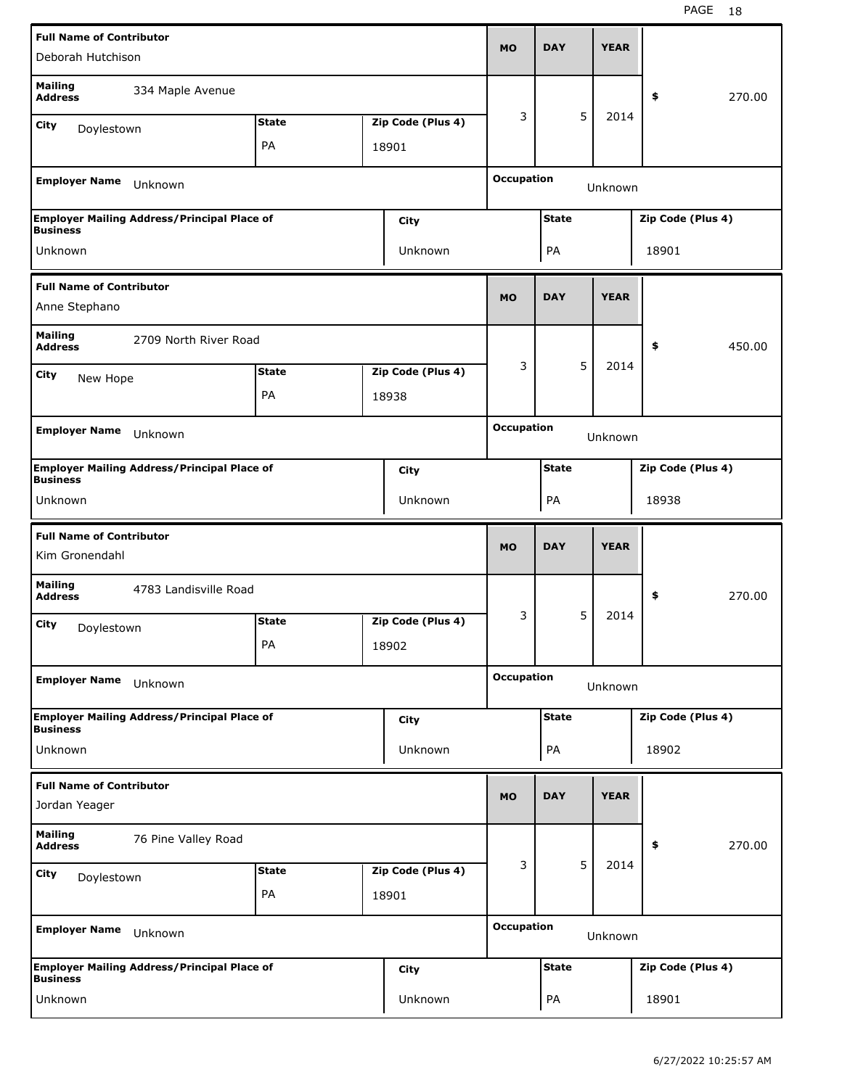| <b>Full Name of Contributor</b>                           |                                                    |              |  |                   |                   | <b>DAY</b>                        |   | <b>YEAR</b> |                   |        |
|-----------------------------------------------------------|----------------------------------------------------|--------------|--|-------------------|-------------------|-----------------------------------|---|-------------|-------------------|--------|
| Deborah Hutchison                                         |                                                    |              |  |                   | <b>MO</b>         |                                   |   |             |                   |        |
| <b>Mailing</b><br><b>Address</b>                          | 334 Maple Avenue                                   |              |  |                   |                   |                                   |   |             | \$                | 270.00 |
| City<br>Doylestown                                        |                                                    | <b>State</b> |  | Zip Code (Plus 4) | 3                 |                                   | 5 | 2014        |                   |        |
|                                                           |                                                    | PA           |  | 18901             |                   |                                   |   |             |                   |        |
| <b>Employer Name</b>                                      | Unknown                                            |              |  |                   | <b>Occupation</b> |                                   |   | Unknown     |                   |        |
|                                                           |                                                    |              |  |                   |                   |                                   |   |             |                   |        |
| <b>Business</b>                                           | <b>Employer Mailing Address/Principal Place of</b> |              |  | City              |                   | <b>State</b><br>Zip Code (Plus 4) |   |             |                   |        |
| Unknown                                                   |                                                    |              |  | Unknown           |                   | PA                                |   |             | 18901             |        |
| <b>Full Name of Contributor</b>                           |                                                    |              |  |                   |                   |                                   |   |             |                   |        |
| Anne Stephano                                             |                                                    |              |  |                   |                   | <b>DAY</b>                        |   | <b>YEAR</b> |                   |        |
| <b>Mailing</b><br>2709 North River Road<br><b>Address</b> |                                                    |              |  |                   |                   |                                   |   |             | \$                | 450.00 |
| <b>State</b><br>Zip Code (Plus 4)<br>City<br>New Hope     |                                                    |              |  |                   | 3                 |                                   | 5 | 2014        |                   |        |
|                                                           | PA<br>18938                                        |              |  |                   |                   |                                   |   |             |                   |        |
|                                                           |                                                    |              |  |                   |                   |                                   |   |             |                   |        |
| <b>Employer Name</b>                                      | Unknown                                            |              |  |                   | <b>Occupation</b> |                                   |   | Unknown     |                   |        |
| <b>Business</b>                                           | <b>Employer Mailing Address/Principal Place of</b> |              |  | City              |                   | <b>State</b>                      |   |             | Zip Code (Plus 4) |        |
| Unknown                                                   |                                                    |              |  | Unknown           | PA<br>18938       |                                   |   |             |                   |        |
|                                                           |                                                    |              |  |                   |                   |                                   |   |             |                   |        |
| <b>Full Name of Contributor</b>                           |                                                    |              |  |                   |                   |                                   |   |             |                   |        |
| Kim Gronendahl                                            |                                                    |              |  |                   | <b>MO</b>         | <b>DAY</b>                        |   | <b>YEAR</b> |                   |        |
| <b>Mailing</b><br><b>Address</b>                          | 4783 Landisville Road                              |              |  |                   |                   |                                   |   |             | \$                | 270.00 |
| City                                                      |                                                    | <b>State</b> |  | Zip Code (Plus 4) | 3                 |                                   | 5 | 2014        |                   |        |
| Doylestown                                                |                                                    | PA           |  | 18902             |                   |                                   |   |             |                   |        |
| <b>Employer Name</b>                                      | Unknown                                            |              |  |                   | <b>Occupation</b> |                                   |   | Unknown     |                   |        |
|                                                           | <b>Employer Mailing Address/Principal Place of</b> |              |  | City              |                   | <b>State</b>                      |   |             | Zip Code (Plus 4) |        |
| <b>Business</b><br>Unknown                                |                                                    |              |  | Unknown           |                   | PA                                |   |             | 18902             |        |
|                                                           |                                                    |              |  |                   |                   |                                   |   |             |                   |        |
| <b>Full Name of Contributor</b><br>Jordan Yeager          |                                                    |              |  |                   | <b>MO</b>         | <b>DAY</b>                        |   | <b>YEAR</b> |                   |        |
| <b>Mailing</b><br><b>Address</b>                          | 76 Pine Valley Road                                |              |  |                   |                   |                                   |   |             | \$                | 270.00 |
| City<br>Doylestown                                        |                                                    | <b>State</b> |  | Zip Code (Plus 4) | 3                 |                                   | 5 | 2014        |                   |        |
|                                                           |                                                    | PA           |  | 18901             |                   |                                   |   |             |                   |        |
| <b>Employer Name</b>                                      | Unknown                                            |              |  |                   | <b>Occupation</b> |                                   |   | Unknown     |                   |        |
| <b>Business</b>                                           | <b>Employer Mailing Address/Principal Place of</b> |              |  | City              |                   | <b>State</b>                      |   |             | Zip Code (Plus 4) |        |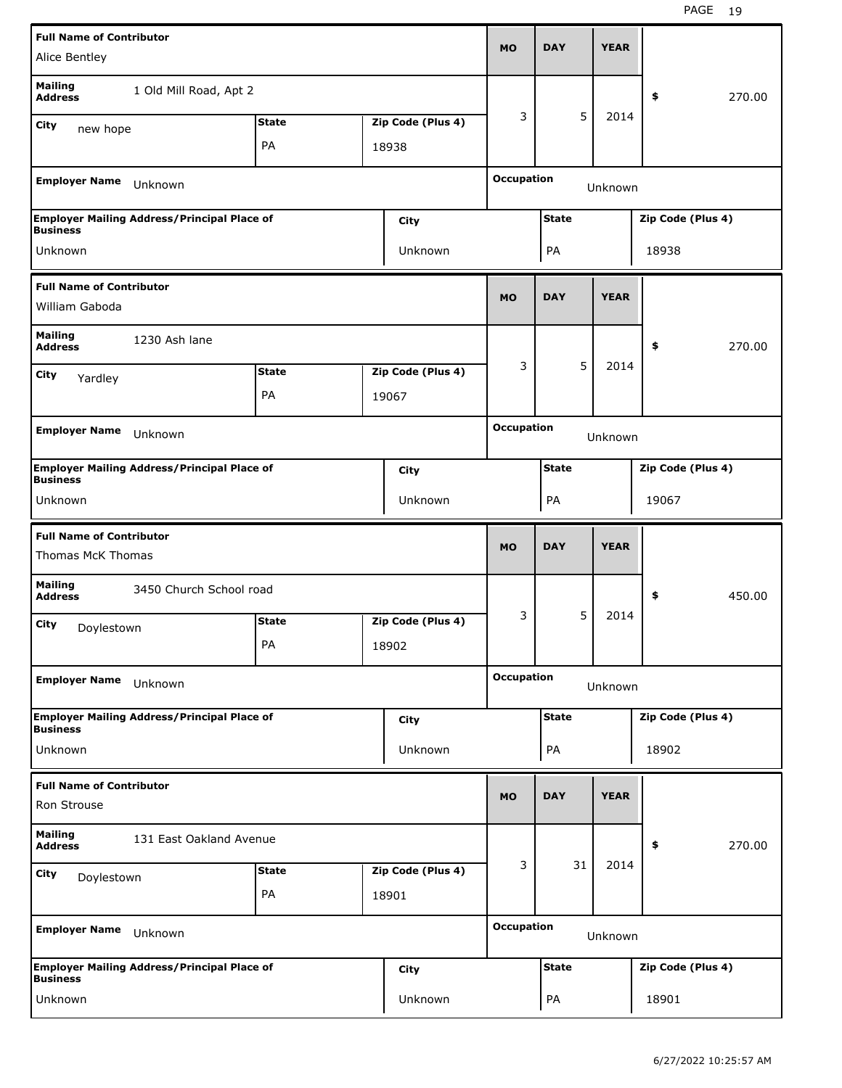| <b>Full Name of Contributor</b>                      |                                                    |              |  |                   |                                   |              |             |       |                   |
|------------------------------------------------------|----------------------------------------------------|--------------|--|-------------------|-----------------------------------|--------------|-------------|-------|-------------------|
| Alice Bentley                                        |                                                    |              |  |                   | <b>MO</b>                         | <b>DAY</b>   | <b>YEAR</b> |       |                   |
| <b>Mailing</b><br><b>Address</b>                     | 1 Old Mill Road, Apt 2                             |              |  |                   |                                   |              |             | \$    | 270.00            |
| City<br>new hope                                     |                                                    | <b>State</b> |  | Zip Code (Plus 4) | 3                                 | 5            | 2014        |       |                   |
|                                                      |                                                    | PA           |  | 18938             |                                   |              |             |       |                   |
| <b>Employer Name</b>                                 | Unknown                                            |              |  |                   | <b>Occupation</b>                 |              | Unknown     |       |                   |
|                                                      | <b>Employer Mailing Address/Principal Place of</b> |              |  | City              | <b>State</b><br>Zip Code (Plus 4) |              |             |       |                   |
| <b>Business</b><br>Unknown                           |                                                    |              |  | Unknown           |                                   | PA           |             | 18938 |                   |
| <b>Full Name of Contributor</b>                      |                                                    |              |  |                   |                                   | <b>DAY</b>   | <b>YEAR</b> |       |                   |
| William Gaboda                                       |                                                    |              |  |                   |                                   |              |             |       |                   |
| <b>Mailing</b><br>1230 Ash lane<br><b>Address</b>    |                                                    |              |  |                   |                                   |              |             | \$    | 270.00            |
| <b>State</b><br>Zip Code (Plus 4)<br>City<br>Yardley |                                                    |              |  |                   | 3                                 | 5            | 2014        |       |                   |
|                                                      | PA<br>19067                                        |              |  |                   |                                   |              |             |       |                   |
| <b>Employer Name</b>                                 | Unknown                                            |              |  |                   | <b>Occupation</b>                 |              | Unknown     |       |                   |
|                                                      | <b>Employer Mailing Address/Principal Place of</b> |              |  | <b>City</b>       |                                   | <b>State</b> |             |       | Zip Code (Plus 4) |
| <b>Business</b>                                      |                                                    |              |  |                   |                                   |              |             |       |                   |
| Unknown                                              |                                                    |              |  | <b>Unknown</b>    |                                   | PA           |             | 19067 |                   |
| <b>Full Name of Contributor</b>                      |                                                    |              |  |                   |                                   |              |             |       |                   |
| Thomas McK Thomas                                    |                                                    |              |  |                   | <b>MO</b>                         | <b>DAY</b>   | <b>YEAR</b> |       |                   |
| <b>Mailing</b><br><b>Address</b>                     | 3450 Church School road                            |              |  |                   |                                   |              |             | \$    | 450.00            |
| City                                                 |                                                    | <b>State</b> |  | Zip Code (Plus 4) | 3                                 | 5            | 2014        |       |                   |
| Doylestown                                           |                                                    | PA           |  | 18902             |                                   |              |             |       |                   |
| <b>Employer Name</b>                                 | Unknown                                            |              |  |                   | <b>Occupation</b>                 |              | Unknown     |       |                   |
|                                                      | <b>Employer Mailing Address/Principal Place of</b> |              |  | <b>City</b>       |                                   | <b>State</b> |             |       | Zip Code (Plus 4) |
| <b>Business</b><br>Unknown                           |                                                    |              |  | Unknown           |                                   | PA           |             | 18902 |                   |
| <b>Full Name of Contributor</b>                      |                                                    |              |  |                   |                                   |              |             |       |                   |
| Ron Strouse                                          |                                                    |              |  |                   | <b>MO</b>                         | <b>DAY</b>   | <b>YEAR</b> |       |                   |
| <b>Mailing</b><br><b>Address</b>                     | 131 East Oakland Avenue                            |              |  |                   |                                   |              |             | \$    | 270.00            |
| City                                                 |                                                    | <b>State</b> |  | Zip Code (Plus 4) | 3                                 | 31           | 2014        |       |                   |
| Doylestown                                           |                                                    | PA           |  | 18901             |                                   |              |             |       |                   |
| <b>Employer Name</b>                                 | Unknown                                            |              |  |                   | <b>Occupation</b>                 |              | Unknown     |       |                   |
| <b>Business</b>                                      | <b>Employer Mailing Address/Principal Place of</b> |              |  | <b>City</b>       |                                   | <b>State</b> |             |       | Zip Code (Plus 4) |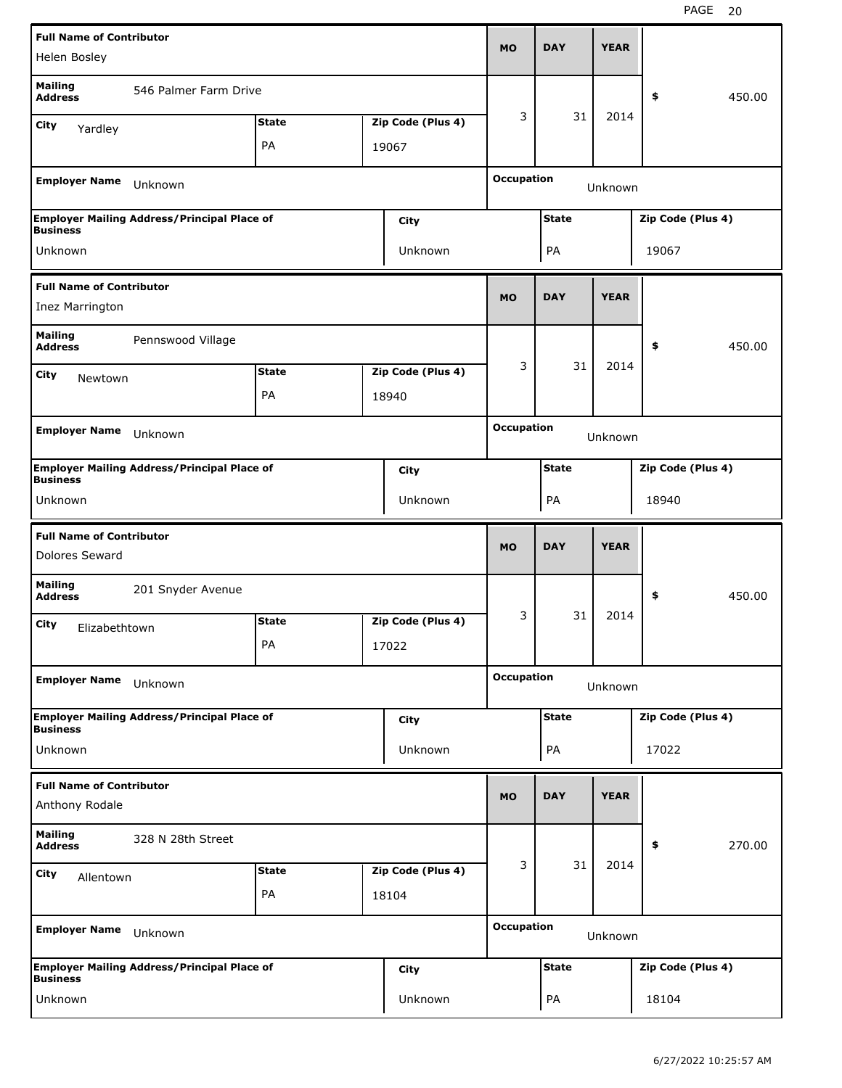| <b>Full Name of Contributor</b>                       |                                                    |              |  |                   |                   |                                   |             |                   |        |  |
|-------------------------------------------------------|----------------------------------------------------|--------------|--|-------------------|-------------------|-----------------------------------|-------------|-------------------|--------|--|
| Helen Bosley                                          |                                                    |              |  |                   | <b>MO</b>         | <b>DAY</b>                        | <b>YEAR</b> |                   |        |  |
| <b>Mailing</b><br><b>Address</b>                      | 546 Palmer Farm Drive                              |              |  |                   |                   |                                   |             | \$                | 450.00 |  |
| City<br>Yardley                                       |                                                    | <b>State</b> |  | Zip Code (Plus 4) | 3                 | 31                                | 2014        |                   |        |  |
|                                                       |                                                    | PA           |  | 19067             |                   |                                   |             |                   |        |  |
| <b>Employer Name</b>                                  | Unknown                                            |              |  |                   | <b>Occupation</b> |                                   | Unknown     |                   |        |  |
|                                                       | <b>Employer Mailing Address/Principal Place of</b> |              |  | City              |                   | <b>State</b><br>Zip Code (Plus 4) |             |                   |        |  |
| <b>Business</b><br>Unknown                            |                                                    |              |  | Unknown           |                   | 19067<br>PA                       |             |                   |        |  |
| <b>Full Name of Contributor</b>                       |                                                    |              |  |                   | <b>MO</b>         |                                   |             |                   |        |  |
| Inez Marrington                                       |                                                    |              |  |                   |                   | <b>DAY</b>                        | <b>YEAR</b> |                   |        |  |
| <b>Mailing</b><br>Pennswood Village<br><b>Address</b> |                                                    |              |  |                   |                   |                                   |             | \$                | 450.00 |  |
| City                                                  | <b>State</b><br>Zip Code (Plus 4)<br>Newtown       |              |  |                   | 3                 | 31                                | 2014        |                   |        |  |
|                                                       | PA<br>18940                                        |              |  |                   |                   |                                   |             |                   |        |  |
|                                                       |                                                    |              |  |                   | <b>Occupation</b> |                                   |             |                   |        |  |
| <b>Employer Name</b>                                  | Unknown                                            |              |  |                   |                   |                                   | Unknown     |                   |        |  |
| <b>Business</b>                                       | <b>Employer Mailing Address/Principal Place of</b> |              |  | City              |                   | <b>State</b>                      |             | Zip Code (Plus 4) |        |  |
| Unknown                                               |                                                    |              |  | Unknown           | PA<br>18940       |                                   |             |                   |        |  |
|                                                       |                                                    |              |  |                   |                   |                                   |             |                   |        |  |
| <b>Full Name of Contributor</b>                       |                                                    |              |  |                   |                   |                                   |             |                   |        |  |
| Dolores Seward                                        |                                                    |              |  |                   | <b>MO</b>         | <b>DAY</b>                        | <b>YEAR</b> |                   |        |  |
| <b>Mailing</b><br><b>Address</b>                      | 201 Snyder Avenue                                  |              |  |                   |                   |                                   |             | \$                | 450.00 |  |
| City                                                  |                                                    | <b>State</b> |  | Zip Code (Plus 4) | 3                 | 31                                | 2014        |                   |        |  |
| Elizabethtown                                         |                                                    | PA           |  | 17022             |                   |                                   |             |                   |        |  |
| <b>Employer Name</b>                                  | Unknown                                            |              |  |                   | <b>Occupation</b> |                                   | Unknown     |                   |        |  |
|                                                       | <b>Employer Mailing Address/Principal Place of</b> |              |  | City              |                   | <b>State</b>                      |             | Zip Code (Plus 4) |        |  |
| <b>Business</b><br>Unknown                            |                                                    |              |  | Unknown           |                   | PA                                |             | 17022             |        |  |
|                                                       |                                                    |              |  |                   |                   |                                   |             |                   |        |  |
| <b>Full Name of Contributor</b><br>Anthony Rodale     |                                                    |              |  |                   | <b>MO</b>         | <b>DAY</b>                        | <b>YEAR</b> |                   |        |  |
| <b>Mailing</b><br><b>Address</b>                      | 328 N 28th Street                                  |              |  |                   |                   |                                   |             | \$                | 270.00 |  |
| City<br>Allentown                                     |                                                    | <b>State</b> |  | Zip Code (Plus 4) | 3                 | 31                                | 2014        |                   |        |  |
|                                                       |                                                    | PA           |  | 18104             |                   |                                   |             |                   |        |  |
| <b>Employer Name</b>                                  | Unknown                                            |              |  |                   | <b>Occupation</b> |                                   | Unknown     |                   |        |  |
| <b>Business</b>                                       | <b>Employer Mailing Address/Principal Place of</b> |              |  | <b>City</b>       |                   | <b>State</b>                      |             | Zip Code (Plus 4) |        |  |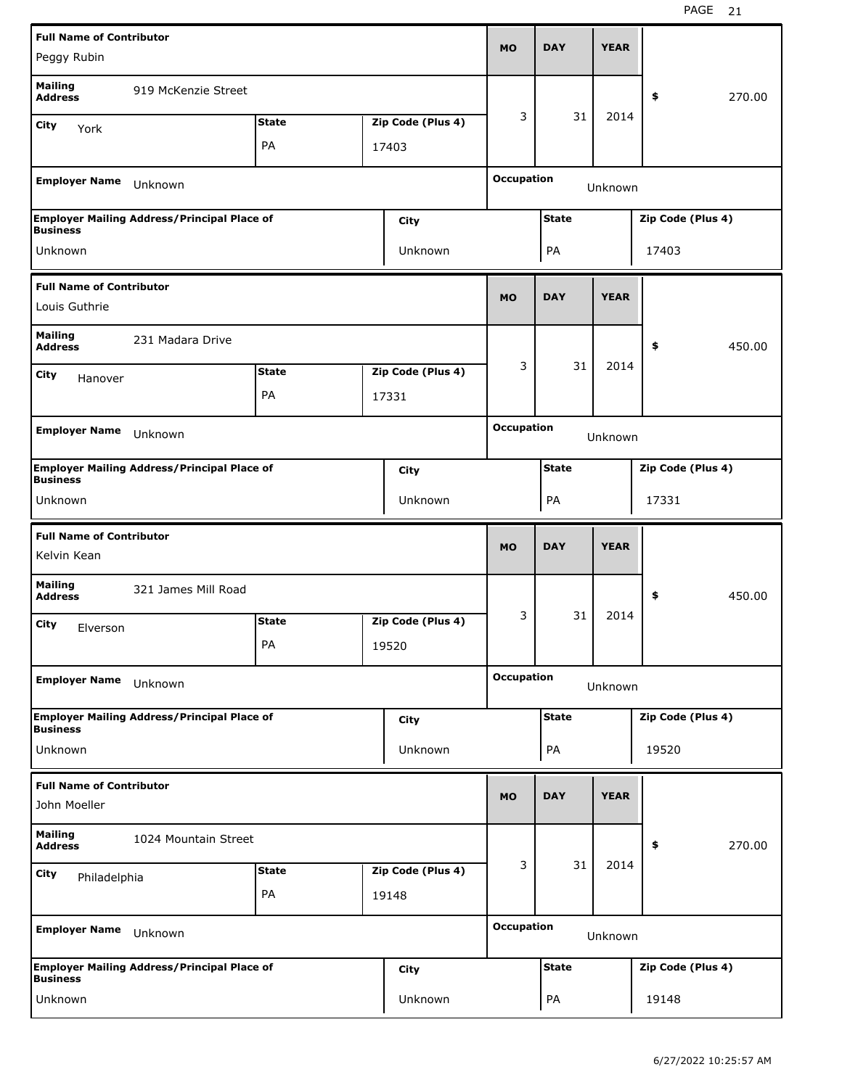| <b>Full Name of Contributor</b>                      |                                                    |              |  |                   |                   |                                   |             |                   |        |
|------------------------------------------------------|----------------------------------------------------|--------------|--|-------------------|-------------------|-----------------------------------|-------------|-------------------|--------|
| Peggy Rubin                                          |                                                    |              |  |                   | <b>MO</b>         | <b>DAY</b>                        | <b>YEAR</b> |                   |        |
| <b>Mailing</b><br><b>Address</b>                     | 919 McKenzie Street                                |              |  |                   |                   |                                   |             | \$                | 270.00 |
| City<br>York                                         |                                                    | <b>State</b> |  | Zip Code (Plus 4) | 3                 | 31                                | 2014        |                   |        |
|                                                      |                                                    | PA           |  | 17403             |                   |                                   |             |                   |        |
| <b>Employer Name</b>                                 | Unknown                                            |              |  |                   | <b>Occupation</b> |                                   | Unknown     |                   |        |
|                                                      | <b>Employer Mailing Address/Principal Place of</b> |              |  | <b>City</b>       |                   | <b>State</b><br>Zip Code (Plus 4) |             |                   |        |
| <b>Business</b><br>Unknown                           |                                                    |              |  | Unknown           |                   | PA                                |             | 17403             |        |
| <b>Full Name of Contributor</b>                      |                                                    |              |  |                   | <b>MO</b>         |                                   |             |                   |        |
| Louis Guthrie                                        |                                                    |              |  |                   |                   | <b>DAY</b>                        | <b>YEAR</b> |                   |        |
| <b>Mailing</b><br>231 Madara Drive<br><b>Address</b> |                                                    |              |  |                   |                   |                                   |             | \$                | 450.00 |
| <b>State</b><br>Zip Code (Plus 4)<br>City<br>Hanover |                                                    |              |  | 3                 | 31                | 2014                              |             |                   |        |
|                                                      |                                                    | PA           |  | 17331             |                   |                                   |             |                   |        |
| <b>Employer Name</b>                                 | Unknown                                            |              |  |                   |                   | <b>Occupation</b>                 | Unknown     |                   |        |
|                                                      | <b>Employer Mailing Address/Principal Place of</b> |              |  | <b>City</b>       |                   | <b>State</b><br>Zip Code (Plus 4) |             |                   |        |
| <b>Business</b><br>Unknown                           |                                                    |              |  | <b>Unknown</b>    | PA                |                                   |             | 17331             |        |
|                                                      |                                                    |              |  |                   |                   |                                   |             |                   |        |
| <b>Full Name of Contributor</b>                      |                                                    |              |  |                   |                   |                                   |             |                   |        |
| Kelvin Kean                                          |                                                    |              |  |                   | <b>MO</b>         | <b>DAY</b>                        | <b>YEAR</b> |                   |        |
| <b>Mailing</b><br><b>Address</b>                     | 321 James Mill Road                                |              |  |                   |                   |                                   |             | \$                | 450.00 |
| City<br>Elverson                                     |                                                    | <b>State</b> |  | Zip Code (Plus 4) | 3                 | 31                                | 2014        |                   |        |
|                                                      |                                                    | PA           |  | 19520             |                   |                                   |             |                   |        |
| <b>Employer Name</b>                                 | Unknown                                            |              |  |                   | <b>Occupation</b> |                                   | Unknown     |                   |        |
|                                                      | <b>Employer Mailing Address/Principal Place of</b> |              |  | City              |                   | <b>State</b>                      |             | Zip Code (Plus 4) |        |
| <b>Business</b><br>Unknown                           |                                                    |              |  | Unknown           |                   | PA                                |             | 19520             |        |
| <b>Full Name of Contributor</b>                      |                                                    |              |  |                   |                   |                                   |             |                   |        |
| John Moeller                                         |                                                    |              |  |                   | <b>MO</b>         | <b>DAY</b>                        | <b>YEAR</b> |                   |        |
| <b>Mailing</b><br><b>Address</b>                     | 1024 Mountain Street                               |              |  |                   |                   |                                   |             | \$                | 270.00 |
| City<br>Philadelphia                                 |                                                    | <b>State</b> |  | Zip Code (Plus 4) | 3                 | 31                                | 2014        |                   |        |
|                                                      |                                                    | PA           |  | 19148             |                   |                                   |             |                   |        |
| <b>Employer Name</b>                                 | Unknown                                            |              |  |                   | <b>Occupation</b> |                                   | Unknown     |                   |        |
| <b>Business</b>                                      | <b>Employer Mailing Address/Principal Place of</b> |              |  | <b>City</b>       |                   | <b>State</b>                      |             | Zip Code (Plus 4) |        |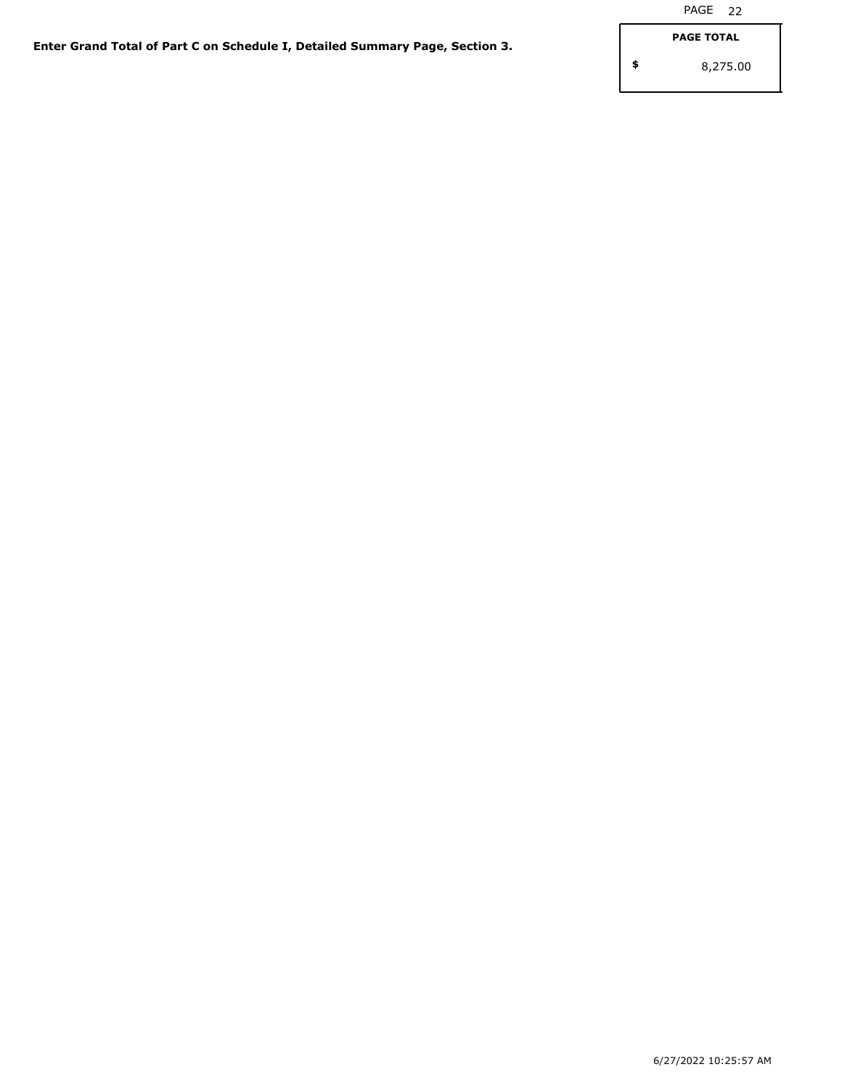**\$**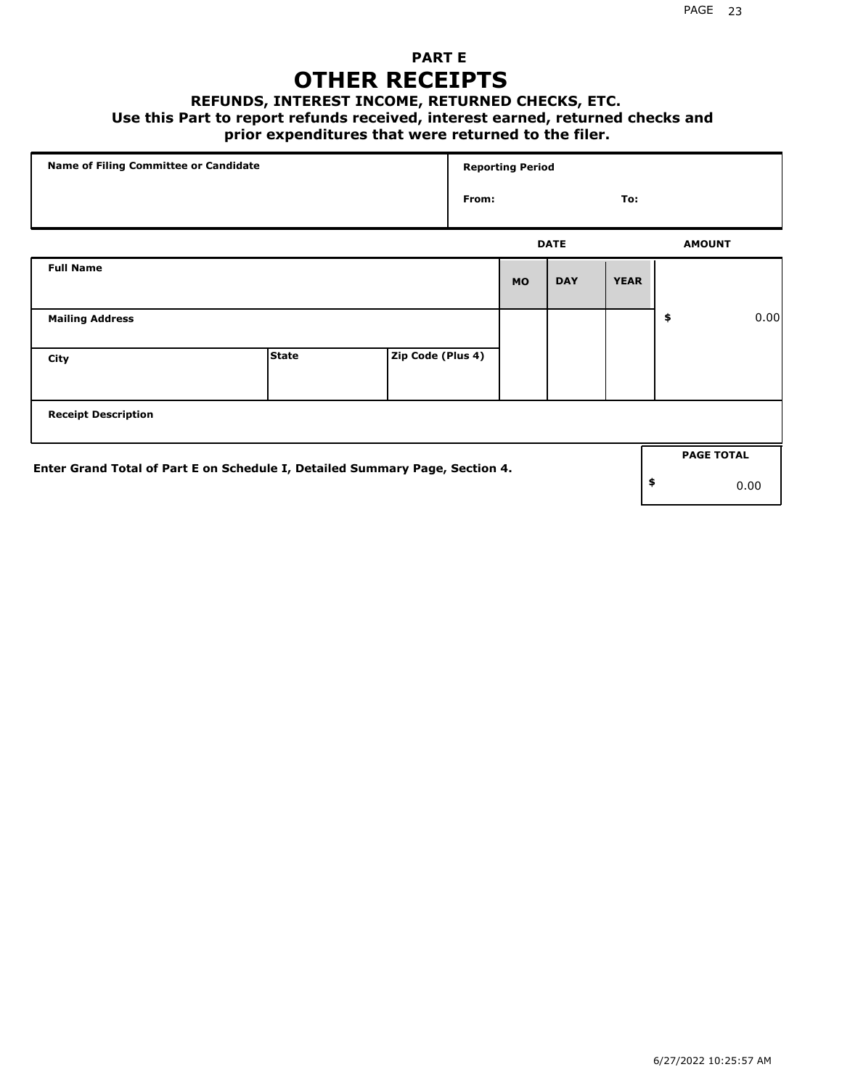## **PART E OTHER RECEIPTS**

#### **REFUNDS, INTEREST INCOME, RETURNED CHECKS, ETC.**

#### **Use this Part to report refunds received, interest earned, returned checks and**

## **prior expenditures that were returned to the filer.**

|                                                                              | Name of Filing Committee or Candidate |                   |       | <b>Reporting Period</b> |             |             |    |                   |      |
|------------------------------------------------------------------------------|---------------------------------------|-------------------|-------|-------------------------|-------------|-------------|----|-------------------|------|
|                                                                              |                                       |                   | From: |                         |             | To:         |    |                   |      |
|                                                                              |                                       |                   |       |                         | <b>DATE</b> |             |    | <b>AMOUNT</b>     |      |
| <b>Full Name</b>                                                             |                                       |                   |       | <b>MO</b>               | <b>DAY</b>  | <b>YEAR</b> |    |                   |      |
| <b>Mailing Address</b>                                                       |                                       |                   |       |                         |             |             | \$ |                   | 0.00 |
| City                                                                         | <b>State</b>                          | Zip Code (Plus 4) |       |                         |             |             |    |                   |      |
| <b>Receipt Description</b>                                                   |                                       |                   |       |                         |             |             |    |                   |      |
| Enter Grand Total of Part E on Schedule I, Detailed Summary Page, Section 4. |                                       |                   |       |                         |             |             |    | <b>PAGE TOTAL</b> |      |
|                                                                              |                                       |                   |       |                         |             |             | \$ | 0.00              |      |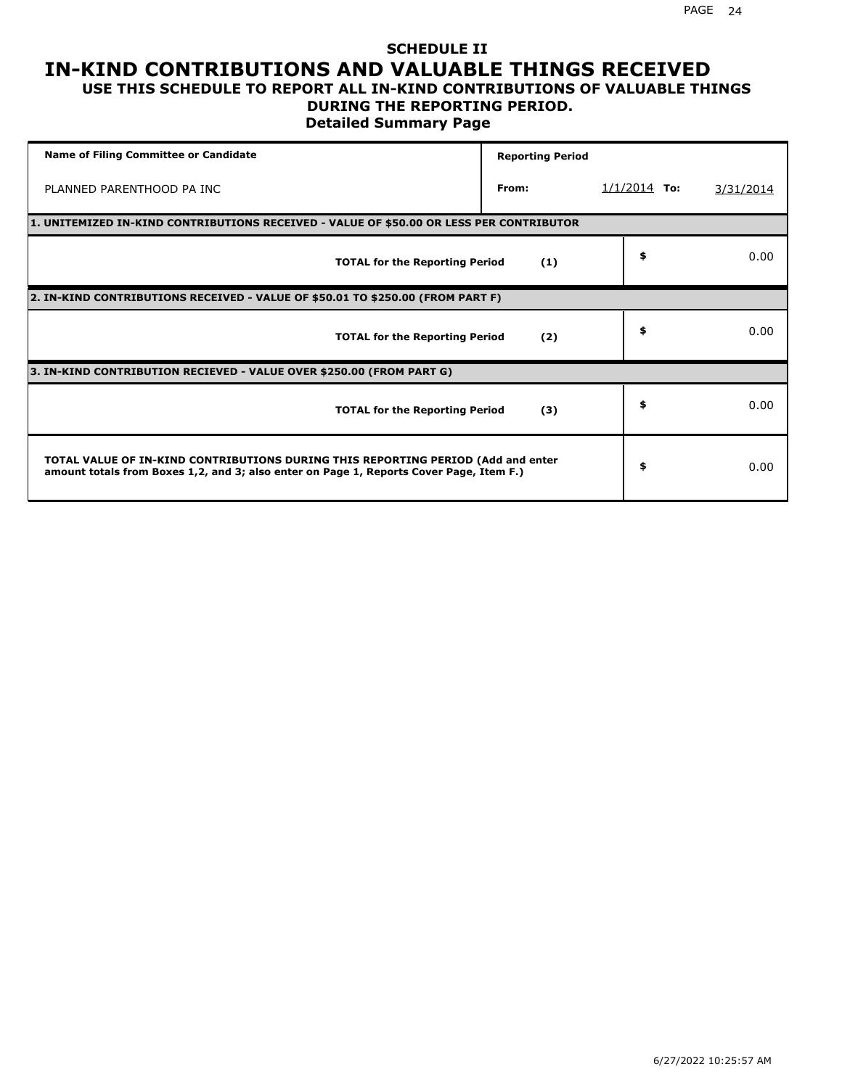### **SCHEDULE II IN-KIND CONTRIBUTIONS AND VALUABLE THINGS RECEIVED USE THIS SCHEDULE TO REPORT ALL IN-KIND CONTRIBUTIONS OF VALUABLE THINGS**

## **DURING THE REPORTING PERIOD.**

**Detailed Summary Page**

| <b>Name of Filing Committee or Candidate</b>                                                                                                                                | <b>Reporting Period</b> |                |           |
|-----------------------------------------------------------------------------------------------------------------------------------------------------------------------------|-------------------------|----------------|-----------|
| PLANNED PARENTHOOD PA INC                                                                                                                                                   | From:                   | $1/1/2014$ To: | 3/31/2014 |
| 1. UNITEMIZED IN-KIND CONTRIBUTIONS RECEIVED - VALUE OF \$50.00 OR LESS PER CONTRIBUTOR                                                                                     |                         |                |           |
| <b>TOTAL for the Reporting Period</b>                                                                                                                                       | (1)                     | \$             | 0.00      |
| 2. IN-KIND CONTRIBUTIONS RECEIVED - VALUE OF \$50.01 TO \$250.00 (FROM PART F)                                                                                              |                         |                |           |
| <b>TOTAL for the Reporting Period</b>                                                                                                                                       | (2)                     | \$             | 0.00      |
| 3. IN-KIND CONTRIBUTION RECIEVED - VALUE OVER \$250.00 (FROM PART G)                                                                                                        |                         |                |           |
| <b>TOTAL for the Reporting Period</b>                                                                                                                                       | (3)                     | \$             | 0.00      |
| TOTAL VALUE OF IN-KIND CONTRIBUTIONS DURING THIS REPORTING PERIOD (Add and enter<br>amount totals from Boxes 1,2, and 3; also enter on Page 1, Reports Cover Page, Item F.) |                         | \$             | 0.00      |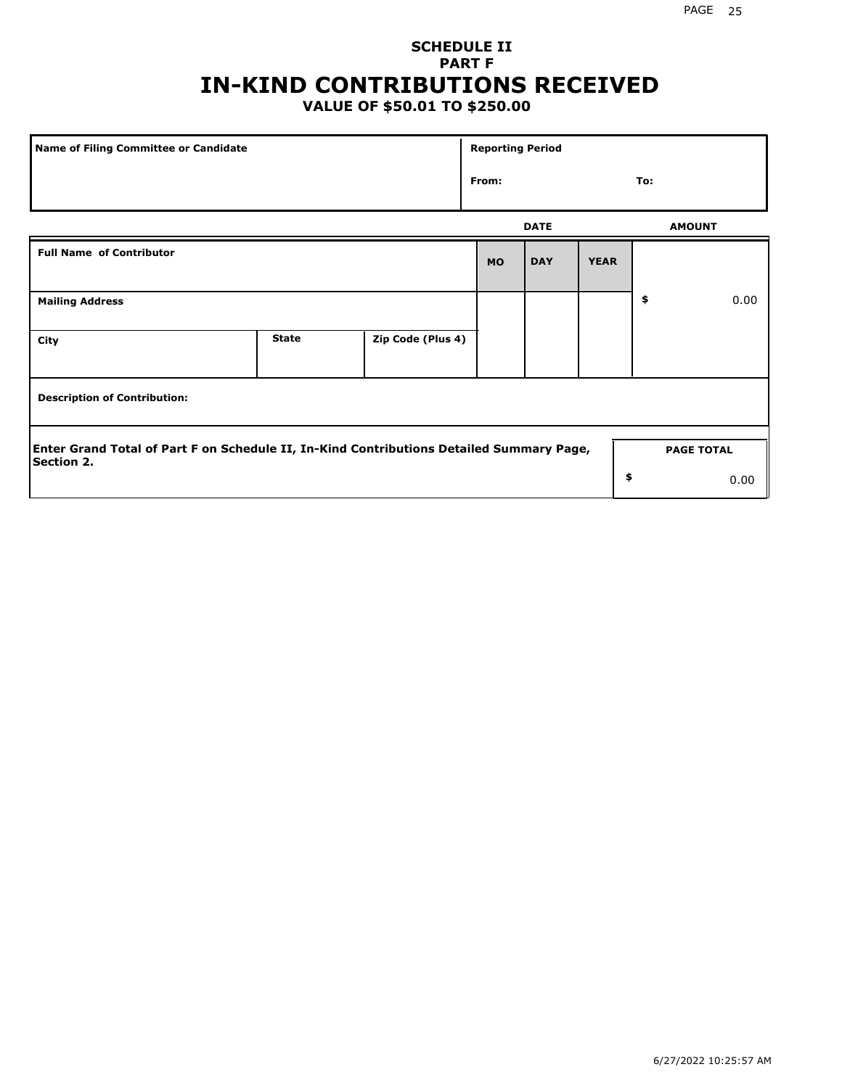## **SCHEDULE II PART F IN-KIND CONTRIBUTIONS RECEIVED**

## **VALUE OF \$50.01 TO \$250.00**

| Name of Filing Committee or Candidate                                                                         |              |                   |           |             | <b>Reporting Period</b> |               |                   |  |  |
|---------------------------------------------------------------------------------------------------------------|--------------|-------------------|-----------|-------------|-------------------------|---------------|-------------------|--|--|
|                                                                                                               | From:        |                   |           | To:         |                         |               |                   |  |  |
|                                                                                                               |              |                   |           | <b>DATE</b> |                         | <b>AMOUNT</b> |                   |  |  |
| <b>Full Name of Contributor</b>                                                                               |              |                   | <b>MO</b> | <b>DAY</b>  | <b>YEAR</b>             |               |                   |  |  |
| <b>Mailing Address</b>                                                                                        |              |                   |           |             |                         | \$            | 0.00              |  |  |
| City                                                                                                          | <b>State</b> | Zip Code (Plus 4) |           |             |                         |               |                   |  |  |
| <b>Description of Contribution:</b>                                                                           |              |                   |           |             |                         |               |                   |  |  |
| Enter Grand Total of Part F on Schedule II, In-Kind Contributions Detailed Summary Page,<br><b>Section 2.</b> |              |                   |           |             |                         |               | <b>PAGE TOTAL</b> |  |  |
|                                                                                                               |              |                   |           |             | \$                      |               | 0.00              |  |  |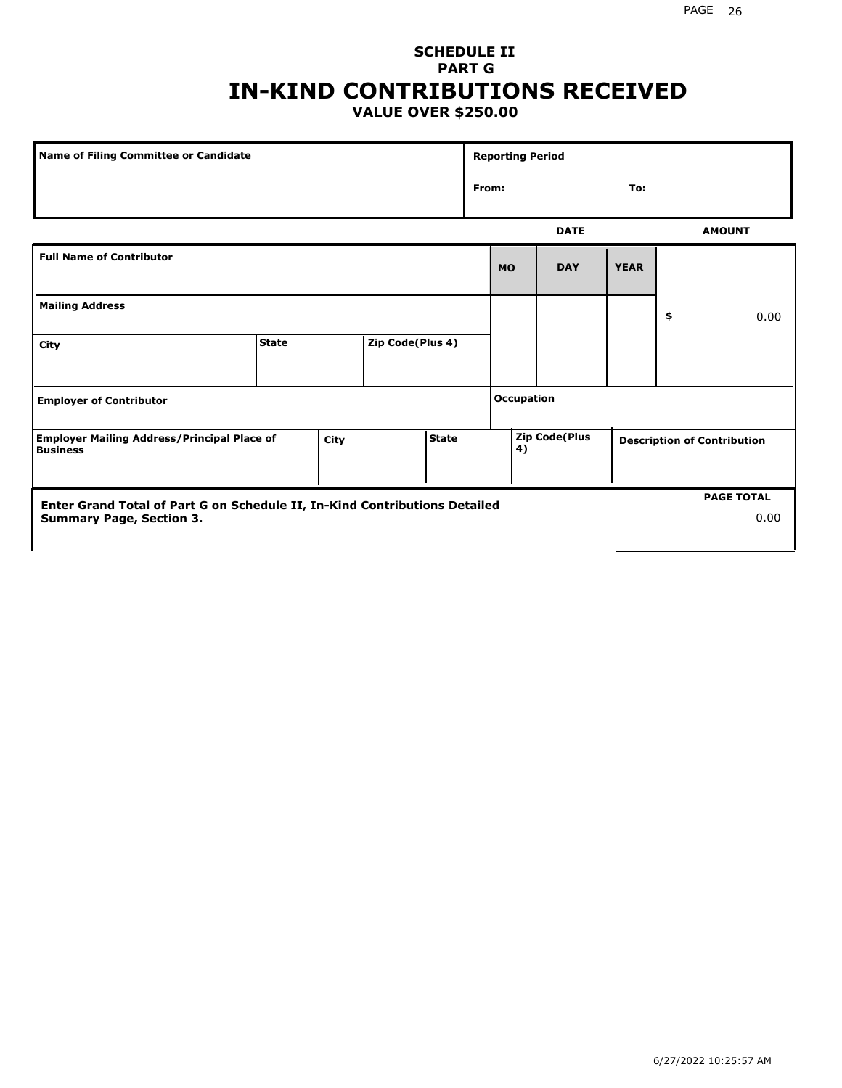### **SCHEDULE II PART G IN-KIND CONTRIBUTIONS RECEIVED VALUE OVER \$250.00**

| Name of Filing Committee or Candidate                                      |              |      |                  |              |       | <b>Reporting Period</b> |                      |             |                                    |
|----------------------------------------------------------------------------|--------------|------|------------------|--------------|-------|-------------------------|----------------------|-------------|------------------------------------|
|                                                                            |              |      |                  |              | From: |                         |                      | To:         |                                    |
|                                                                            |              |      |                  |              |       |                         | <b>DATE</b>          |             | <b>AMOUNT</b>                      |
| <b>Full Name of Contributor</b>                                            |              |      |                  |              |       | <b>MO</b>               | <b>DAY</b>           | <b>YEAR</b> |                                    |
| <b>Mailing Address</b>                                                     |              |      |                  |              |       |                         |                      |             | \$<br>0.00                         |
| City                                                                       | <b>State</b> |      | Zip Code(Plus 4) |              |       |                         |                      |             |                                    |
| <b>Employer of Contributor</b>                                             |              |      |                  |              |       | Occupation              |                      |             |                                    |
| <b>Employer Mailing Address/Principal Place of</b><br><b>Business</b>      |              | City |                  | <b>State</b> |       | 4)                      | <b>Zip Code(Plus</b> |             | <b>Description of Contribution</b> |
| Enter Grand Total of Part G on Schedule II, In-Kind Contributions Detailed |              |      |                  |              |       |                         |                      |             | <b>PAGE TOTAL</b>                  |
| <b>Summary Page, Section 3.</b>                                            |              |      |                  |              |       |                         |                      |             | 0.00                               |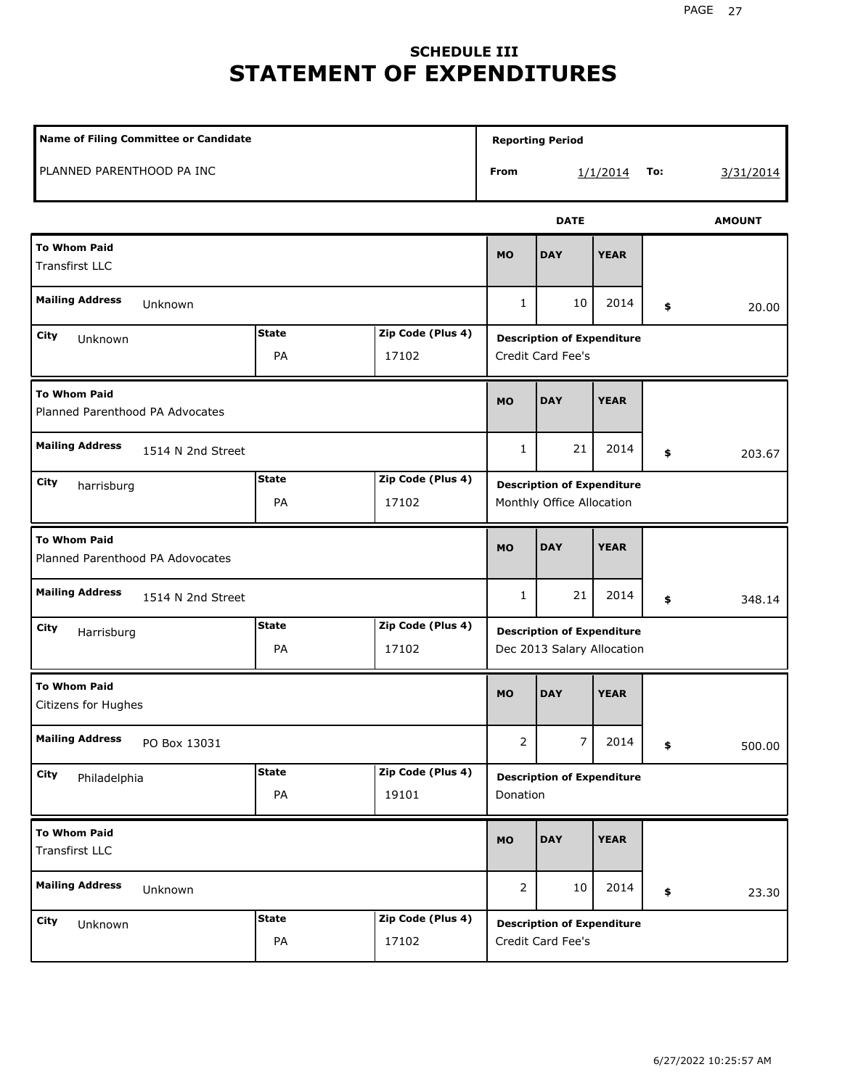# **SCHEDULE III STATEMENT OF EXPENDITURES**

| <b>Name of Filing Committee or Candidate</b>            |                    |                            | <b>Reporting Period</b>                                         |             |             |     |               |
|---------------------------------------------------------|--------------------|----------------------------|-----------------------------------------------------------------|-------------|-------------|-----|---------------|
| PLANNED PARENTHOOD PA INC                               |                    |                            | From                                                            |             | 1/1/2014    | To: | 3/31/2014     |
|                                                         |                    |                            |                                                                 | <b>DATE</b> |             |     | <b>AMOUNT</b> |
| <b>To Whom Paid</b><br><b>Transfirst LLC</b>            |                    |                            | <b>MO</b>                                                       | <b>DAY</b>  | <b>YEAR</b> |     |               |
| <b>Mailing Address</b><br>Unknown                       |                    |                            | 1                                                               | 10          | 2014        | \$  | 20.00         |
| City<br>Unknown                                         | <b>State</b><br>PA | Zip Code (Plus 4)<br>17102 | <b>Description of Expenditure</b><br>Credit Card Fee's          |             |             |     |               |
| <b>To Whom Paid</b><br>Planned Parenthood PA Advocates  |                    |                            | <b>MO</b>                                                       | <b>DAY</b>  | <b>YEAR</b> |     |               |
| <b>Mailing Address</b><br>1514 N 2nd Street             |                    |                            | 1                                                               | 21          | 2014        | \$  | 203.67        |
| City<br>harrisburg                                      | <b>State</b><br>PA | Zip Code (Plus 4)<br>17102 | <b>Description of Expenditure</b><br>Monthly Office Allocation  |             |             |     |               |
| <b>To Whom Paid</b><br>Planned Parenthood PA Adovocates |                    |                            | <b>MO</b>                                                       | <b>DAY</b>  | <b>YEAR</b> |     |               |
| <b>Mailing Address</b><br>1514 N 2nd Street             |                    |                            | 1                                                               | 21          | 2014        | \$  | 348.14        |
| City<br>Harrisburg                                      | <b>State</b><br>PA | Zip Code (Plus 4)<br>17102 | <b>Description of Expenditure</b><br>Dec 2013 Salary Allocation |             |             |     |               |
| <b>To Whom Paid</b><br>Citizens for Hughes              |                    |                            | <b>MO</b>                                                       | <b>DAY</b>  | <b>YEAR</b> |     |               |
| <b>Mailing Address</b><br>PO Box 13031                  |                    |                            | $\overline{z}$                                                  | $\prime$    | 2014        | \$  | 500.00        |
| City<br>Philadelphia                                    | <b>State</b><br>PA | Zip Code (Plus 4)<br>19101 | <b>Description of Expenditure</b><br>Donation                   |             |             |     |               |
| <b>To Whom Paid</b><br><b>Transfirst LLC</b>            |                    |                            | <b>MO</b>                                                       | <b>DAY</b>  | <b>YEAR</b> |     |               |
| <b>Mailing Address</b><br>Unknown                       |                    |                            | $\overline{2}$                                                  | 10          | 2014        | \$  | 23.30         |
| City<br>Unknown                                         | <b>State</b><br>PA | Zip Code (Plus 4)<br>17102 | <b>Description of Expenditure</b><br>Credit Card Fee's          |             |             |     |               |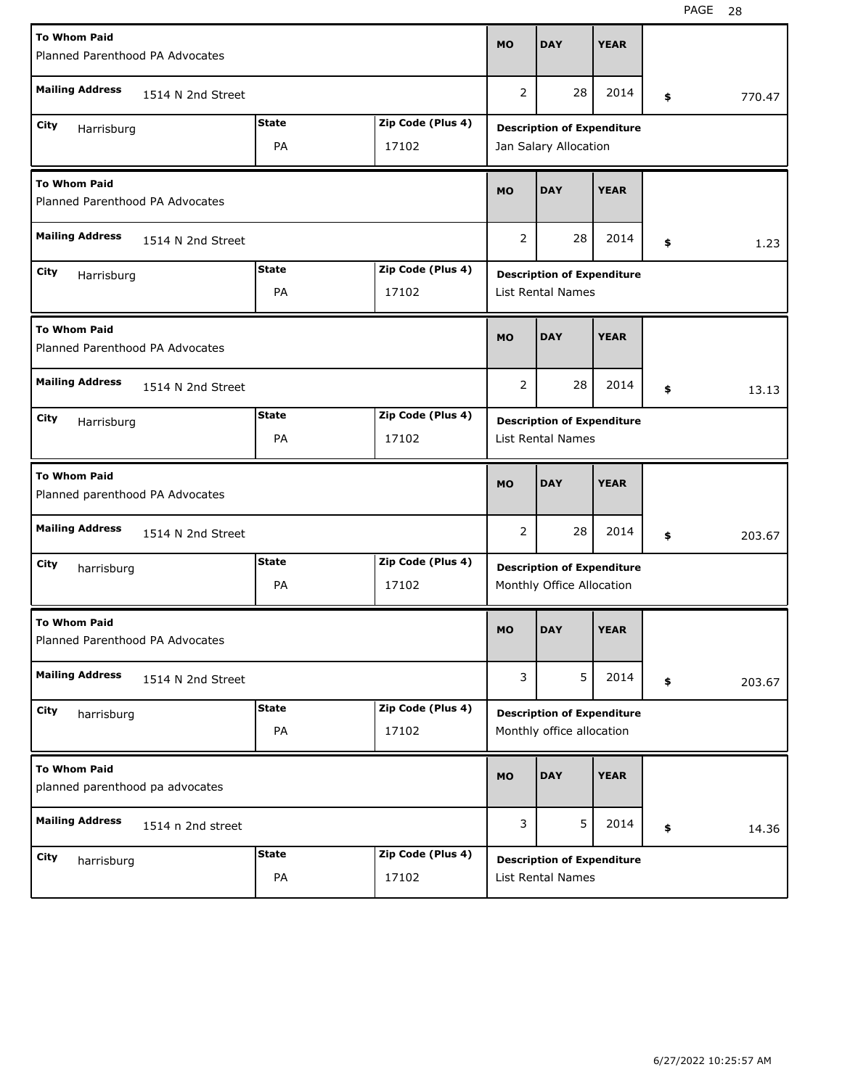| <b>To Whom Paid</b><br>Planned Parenthood PA Advocates |                   |              | <b>MO</b>                         | <b>DAY</b>                                                    | <b>YEAR</b>                                                    |             |    |        |        |
|--------------------------------------------------------|-------------------|--------------|-----------------------------------|---------------------------------------------------------------|----------------------------------------------------------------|-------------|----|--------|--------|
| <b>Mailing Address</b><br>1514 N 2nd Street            |                   |              | 2                                 | 28                                                            | 2014                                                           | \$          |    | 770.47 |        |
| City                                                   |                   | <b>State</b> | Zip Code (Plus 4)                 |                                                               |                                                                |             |    |        |        |
| Harrisburg<br>PA<br>17102                              |                   |              |                                   | <b>Description of Expenditure</b><br>Jan Salary Allocation    |                                                                |             |    |        |        |
| <b>To Whom Paid</b><br>Planned Parenthood PA Advocates |                   |              | <b>MO</b>                         | <b>DAY</b>                                                    | <b>YEAR</b>                                                    |             |    |        |        |
| <b>Mailing Address</b><br>1514 N 2nd Street            |                   |              | 2                                 | 28                                                            | 2014                                                           | \$          |    | 1.23   |        |
| City<br>Harrisburg                                     |                   | <b>State</b> | Zip Code (Plus 4)                 |                                                               |                                                                |             |    |        |        |
|                                                        |                   | PA           | 17102                             | <b>Description of Expenditure</b><br><b>List Rental Names</b> |                                                                |             |    |        |        |
| <b>To Whom Paid</b><br>Planned Parenthood PA Advocates |                   |              | <b>MO</b>                         | <b>DAY</b>                                                    | <b>YEAR</b>                                                    |             |    |        |        |
| <b>Mailing Address</b><br>1514 N 2nd Street            |                   |              | 2                                 | 28                                                            | 2014                                                           | \$          |    | 13.13  |        |
| <b>State</b><br>Zip Code (Plus 4)<br>City              |                   |              | <b>Description of Expenditure</b> |                                                               |                                                                |             |    |        |        |
| Harrisburg<br>PA<br>17102                              |                   |              |                                   | List Rental Names                                             |                                                                |             |    |        |        |
| <b>To Whom Paid</b><br>Planned parenthood PA Advocates |                   |              |                                   |                                                               |                                                                |             |    |        |        |
|                                                        |                   |              |                                   | <b>MO</b>                                                     | <b>DAY</b>                                                     | <b>YEAR</b> |    |        |        |
| <b>Mailing Address</b>                                 | 1514 N 2nd Street |              |                                   | 2                                                             | 28                                                             | 2014        | \$ |        | 203.67 |
| City                                                   |                   | <b>State</b> | Zip Code (Plus 4)                 |                                                               |                                                                |             |    |        |        |
| harrisburg                                             |                   | PA           | 17102                             |                                                               | <b>Description of Expenditure</b><br>Monthly Office Allocation |             |    |        |        |
| <b>To Whom Paid</b><br>Planned Parenthood PA Advocates |                   |              |                                   | MO                                                            | <b>DAY</b>                                                     | <b>YEAR</b> |    |        |        |
| <b>Mailing Address</b>                                 | 1514 N 2nd Street |              |                                   | 3                                                             | 5                                                              | 2014        | \$ |        | 203.67 |
| City                                                   |                   | <b>State</b> | Zip Code (Plus 4)                 |                                                               |                                                                |             |    |        |        |
| harrisburg                                             |                   | PA           | 17102                             |                                                               | <b>Description of Expenditure</b><br>Monthly office allocation |             |    |        |        |
| <b>To Whom Paid</b><br>planned parenthood pa advocates |                   |              |                                   | <b>MO</b>                                                     | <b>DAY</b>                                                     | <b>YEAR</b> |    |        |        |
| <b>Mailing Address</b>                                 | 1514 n 2nd street |              |                                   | 3                                                             | 5                                                              | 2014        | \$ |        | 14.36  |
| City<br>harrisburg                                     |                   | <b>State</b> | Zip Code (Plus 4)                 |                                                               | <b>Description of Expenditure</b>                              |             |    |        |        |